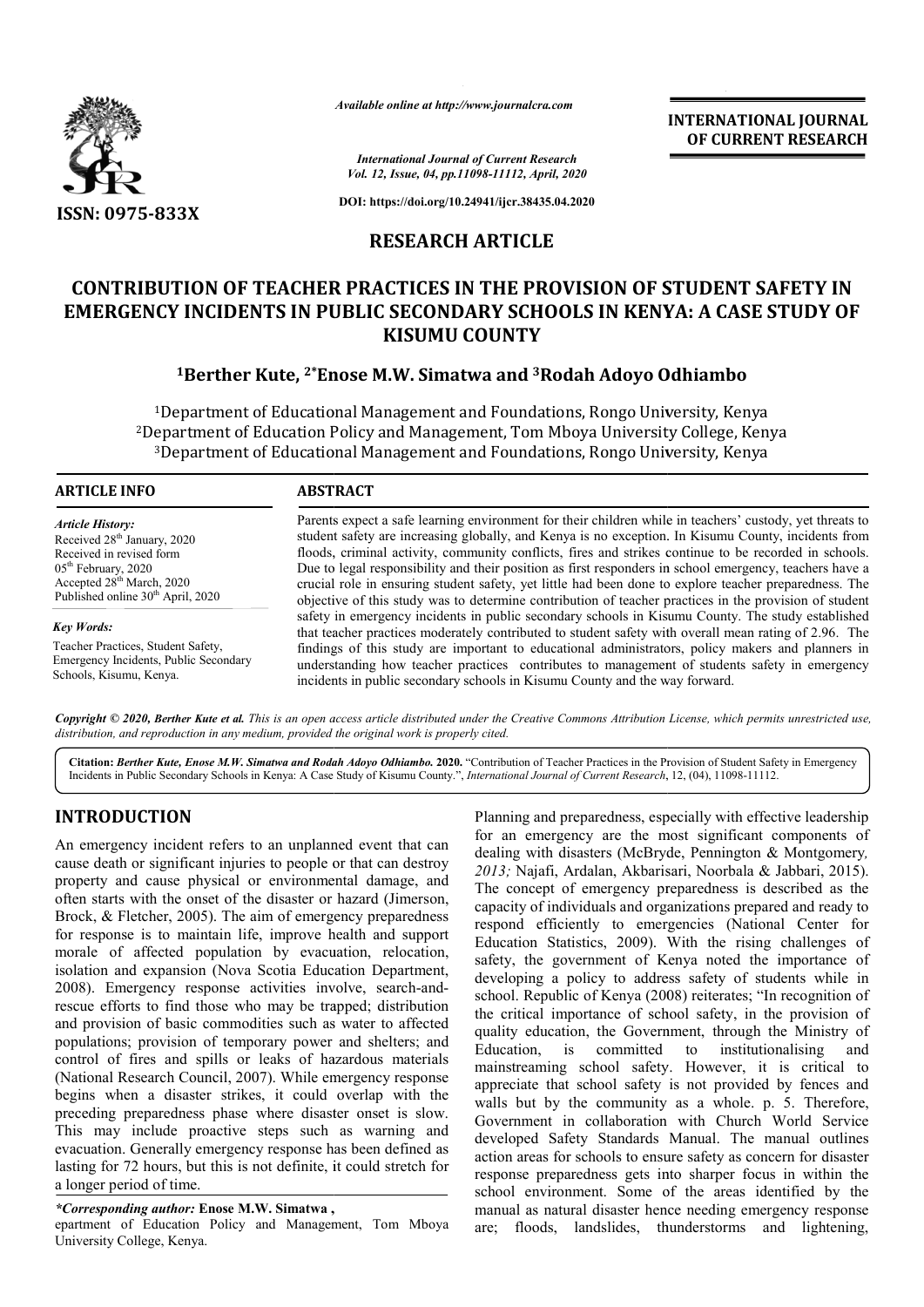

*Available online at http://www.journalcra.com*

*International Journal of Current Research Vol. 12, Issue, 04, pp.11098-11112, April, 2020*

**DOI: https://doi.org/10.24941/ijcr.38435.04.2020**

# **RESEARCH ARTICLE**

# **CONTRIBUTION OF TEACHER PRACTICES IN THE PROVISION OF STUDENT SAFETY IN EMERGENCY INCIDENTS IN PUBLIC SECONDARY SCHOOLS IN KENYA PROVISION OF STUDENT SCHOOLS IN KENYA: A CASE STUDY OF KISUMU COUNTY**

# **1Berther Kute, 2\*Enose M.W. Simatwa and Enose 3Rodah Adoyo Odhiambo Rodah**

<sup>1</sup>Department of Educational Management and Foundations, Rongo University, Kenya 2Department of Education Policy and Management, Tom Mboya University College, Kenya epartment of Education Policy and Management, Tom Mboya University College, Ken<br><sup>3</sup>Department of Educational Management and Foundations, Rongo University, Kenya  $1$ Department<br>Department of<br> $3$ Department

## **ARTICLE INFO ABSTRACT**

*Article History:* Received 28<sup>th</sup> January, 2020 Received in revised form 05th February, 2020 Accepted 28<sup>th</sup> March, 2020 Published online 30<sup>th</sup> April, 2020

*Key Words:* Teacher Practices, Student Safety, Emergency Incidents, Public Secondary Schools, Kisumu, Kenya.

Parents expect a safe learning environment for their children while in teachers' custody, yet threats to student safety are increasing globally, and Kenya is no exception. In Kisumu County, incidents from floods, criminal activity, community conflicts, fires and strikes continue to be recorded in schools. Due to legal responsibility and their position as first responders in school emergency, teachers have a crucial role in ensuring student safety, yet little had been done to explore teacher preparedness. Th objective of this study was to determine contribution of teacher practices in the provision of student safety in emergency incidents in public secondary schools in Kisumu County. The study established that teacher practices moderately contributed to student safety with overall mean rating of 2.96. The findings of this study are important to educational administrators, policy makers and planners in understanding how teacher practices contributes to management of students safety in emergency incidents in public secondary schools in Kisumu County and the way forward. incidents in public secondary schools in Kisumu County and the way forward. Parents expect a safe learning environment for their children while in teachers' custody, yet threats to student safety are increasing globally, and Kenya is no exception. In Kisumu County, incidents from floods, criminal objective of this study was to determine contribution of teacher practices in the provision of student safety in emergency incidents in public secondary schools in Kisumu County. The study established that teacher practice

Copyright © 2020, Berther Kute et al. This is an open access article distributed under the Creative Commons Attribution License, which permits unrestricted use, *distribution, and reproduction in any medium, provided the original work is properly cited.*

Citation: Berther Kute, Enose M.W. Simatwa and Rodah Adoyo Odhiambo. 2020. "Contribution of Teacher Practices in the Provision of Student Safety in Emergency Incidents in Public Secondary Schools in Kenya: A Case Study of Kisumu County.", *International Journal of Current Research*, 12, (04), 11098-11112.

# **INTRODUCTION**

An emergency incident refers to an unplanned event that can cause death or significant injuries to people or that can destroy property and cause physical or environmental damage, and often starts with the onset of the disaster or hazard (Jimerson, Brock, & Fletcher, 2005). The aim of emergency preparedness for response is to maintain life, improve health and support morale of affected population by evacuation, relocation, isolation and expansion (Nova Scotia Education Department, 2008). Emergency response activities involve, search-and-2008). Emergency response activities involve, search-andrescue efforts to find those who may be trapped; distribution and provision of basic commodities such as water to affected populations; provision of temporary power and shelters; and control of fires and spills or leaks of hazardous materials (National Research Council, 2007). While emergency response begins when a disaster strikes, it could overlap with the preceding preparedness phase where disaster onset is slow. This may include proactive steps such as warning and evacuation. Generally emergency response has been defined as lasting for 72 hours, but this is not definite, it could stretch for a longer period of time.

*\*Corresponding author:* **Enose M.W. Simatwa ,**

epartment of Education Policy and Management, Tom Mboya University College, Kenya.

**CTION**<br>
Planning and preparedness, especially with effective leadership<br>
by incident refers to an unplanned event that can<br>
for an emergency are the nots significant components of<br>  $2013$ ; Najafi, Ardalan, Akbarisari, No for an emergency are the most significant components of dealing with disasters (McBryde, Pennington & Montgomery *, 2013;* Najafi, Ardalan, Akbarisari, Noorbala & Jabbari, 2015). The concept of emergency preparedness is described as the capacity of individuals and organizations prepared and ready to respond efficiently to emergencies (National Center for Education Statistics, 2009). With the rising challenges of safety, the government of Kenya noted the importance of developing a policy to address safety of students while in school. Republic of Kenya (2008) reiterates; "In recognition of the critical importance of school safety, in the provision of quality education, the Government, through the Ministry of Education, is committed to institutionalising and mainstreaming school safety. However, it is critical to appreciate that school safety is not provided by fences and walls but by the community as a whole. p. 5. Therefore, Government in collaboration with Church World Service developed Safety Standards Manual. The manual outlines action areas for schools to ensure safety as concern for disaster response preparedness gets into sharper focus in within the school environment. Some of the areas identified by the manual as natural disaster hence needing emergency response are; floods, landslides, thunderstorms and lightening, individuals and organizations prepared and ready to fficiently to emergencies (National Center for Statistics, 2009). With the rising challenges of government of Kenya noted the importance of a policy to address safety of EDUCATIONAL JOURNAL THE COMPART (CONTROVIDUATION) CONTROVIDUATION, THE CONTROVIDUATION, AND CHANGE THE CONTROVIDUATION (ACCORD THE CONTROVIDUATION) AND A CONTROVIDUATION WAS CHANGED TO CONTROVIDUATION WAS CHANGED TO CONTRO

**INTERNATIONAL JOURNAL OF CURRENT RESEARCH**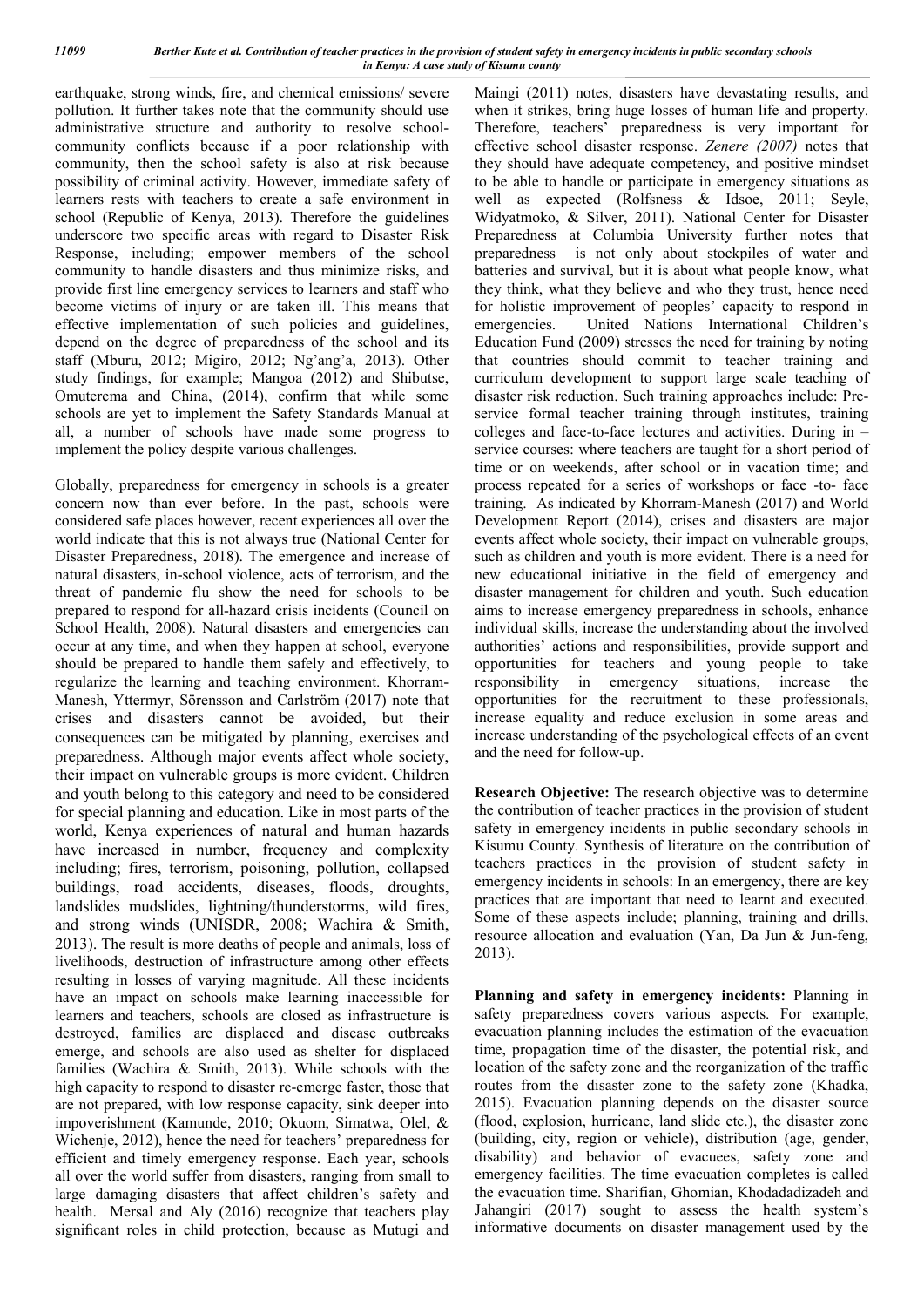earthquake, strong winds, fire, and chemical emissions/ severe pollution. It further takes note that the community should use administrative structure and authority to resolve schoolcommunity conflicts because if a poor relationship with community, then the school safety is also at risk because possibility of criminal activity. However, immediate safety of learners rests with teachers to create a safe environment in school (Republic of Kenya, 2013). Therefore the guidelines underscore two specific areas with regard to Disaster Risk Response, including; empower members of the school community to handle disasters and thus minimize risks, and provide first line emergency services to learners and staff who become victims of injury or are taken ill. This means that effective implementation of such policies and guidelines, depend on the degree of preparedness of the school and its staff (Mburu, 2012; Migiro, 2012; Ng'ang'a, 2013). Other study findings, for example; Mangoa (2012) and Shibutse, Omuterema and China, (2014), confirm that while some schools are yet to implement the Safety Standards Manual at all, a number of schools have made some progress to implement the policy despite various challenges.

Globally, preparedness for emergency in schools is a greater concern now than ever before. In the past, schools were considered safe places however, recent experiences all over the world indicate that this is not always true (National Center for Disaster Preparedness, 2018). The emergence and increase of natural disasters, in-school violence, acts of terrorism, and the threat of pandemic flu show the need for schools to be prepared to respond for all-hazard crisis incidents (Council on School Health, 2008). Natural disasters and emergencies can occur at any time, and when they happen at school, everyone should be prepared to handle them safely and effectively, to regularize the learning and teaching environment. Khorram-Manesh, Yttermyr, Sörensson and Carlström (2017) note that crises and disasters cannot be avoided, but their consequences can be mitigated by planning, exercises and preparedness. Although major events affect whole society, their impact on vulnerable groups is more evident. Children and youth belong to this category and need to be considered for special planning and education. Like in most parts of the world, Kenya experiences of natural and human hazards have increased in number, frequency and complexity including; fires, terrorism, poisoning, pollution, collapsed buildings, road accidents, diseases, floods, droughts, landslides mudslides, lightning/thunderstorms, wild fires, and strong winds (UNISDR, 2008; Wachira & Smith, 2013). The result is more deaths of people and animals, loss of livelihoods, destruction of infrastructure among other effects resulting in losses of varying magnitude. All these incidents have an impact on schools make learning inaccessible for learners and teachers, schools are closed as infrastructure is destroyed, families are displaced and disease outbreaks emerge, and schools are also used as shelter for displaced families (Wachira & Smith, 2013). While schools with the high capacity to respond to disaster re-emerge faster, those that are not prepared, with low response capacity, sink deeper into impoverishment (Kamunde, 2010; Okuom, Simatwa, Olel, & Wichenje, 2012), hence the need for teachers' preparedness for efficient and timely emergency response. Each year, schools all over the world suffer from disasters, ranging from small to large damaging disasters that affect children's safety and health. Mersal and Aly (2016) recognize that teachers play significant roles in child protection, because as Mutugi and Maingi (2011) notes, disasters have devastating results, and when it strikes, bring huge losses of human life and property. Therefore, teachers' preparedness is very important for effective school disaster response. *Zenere (2007)* notes that they should have adequate competency, and positive mindset to be able to handle or participate in emergency situations as well as expected (Rolfsness & Idsoe, 2011; Seyle, Widyatmoko, & Silver, 2011). National Center for Disaster Preparedness at Columbia University further notes that preparedness is not only about stockpiles of water and batteries and survival, but it is about what people know, what they think, what they believe and who they trust, hence need for holistic improvement of peoples' capacity to respond in emergencies. United Nations International Children's Education Fund (2009) stresses the need for training by noting that countries should commit to teacher training and curriculum development to support large scale teaching of disaster risk reduction. Such training approaches include: Preservice formal teacher training through institutes, training colleges and face-to-face lectures and activities. During in – service courses: where teachers are taught for a short period of time or on weekends, after school or in vacation time; and process repeated for a series of workshops or face -to- face training. As indicated by Khorram-Manesh (2017) and World Development Report (2014), crises and disasters are major events affect whole society, their impact on vulnerable groups, such as children and youth is more evident. There is a need for new educational initiative in the field of emergency and disaster management for children and youth. Such education aims to increase emergency preparedness in schools, enhance individual skills, increase the understanding about the involved authorities' actions and responsibilities, provide support and opportunities for teachers and young people to take responsibility in emergency situations, increase the opportunities for the recruitment to these professionals, increase equality and reduce exclusion in some areas and increase understanding of the psychological effects of an event and the need for follow-up.

**Research Objective:** The research objective was to determine the contribution of teacher practices in the provision of student safety in emergency incidents in public secondary schools in Kisumu County. Synthesis of literature on the contribution of teachers practices in the provision of student safety in emergency incidents in schools: In an emergency, there are key practices that are important that need to learnt and executed. Some of these aspects include; planning, training and drills, resource allocation and evaluation (Yan, Da Jun & Jun-feng, 2013).

**Planning and safety in emergency incidents:** Planning in safety preparedness covers various aspects. For example, evacuation planning includes the estimation of the evacuation time, propagation time of the disaster, the potential risk, and location of the safety zone and the reorganization of the traffic routes from the disaster zone to the safety zone (Khadka, 2015). Evacuation planning depends on the disaster source (flood, explosion, hurricane, land slide etc.), the disaster zone (building, city, region or vehicle), distribution (age, gender, disability) and behavior of evacuees, safety zone and emergency facilities. The time evacuation completes is called the evacuation time. Sharifian, Ghomian, Khodadadizadeh and Jahangiri (2017) sought to assess the health system's informative documents on disaster management used by the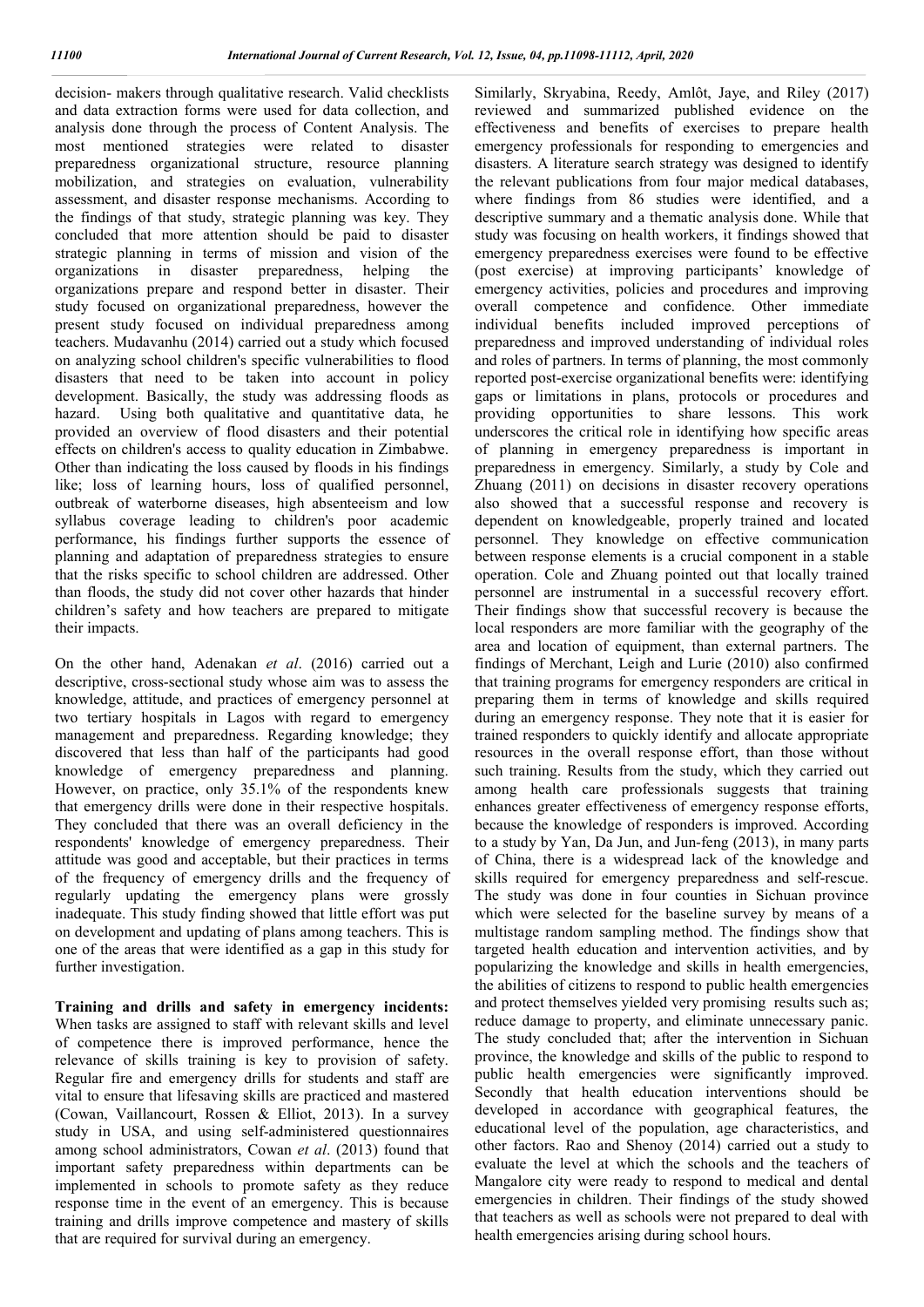decision- makers through qualitative research. Valid checklists and data extraction forms were used for data collection, and analysis done through the process of Content Analysis. The most mentioned strategies were related to disaster preparedness organizational structure, resource planning mobilization, and strategies on evaluation, vulnerability assessment, and disaster response mechanisms. According to the findings of that study, strategic planning was key. They concluded that more attention should be paid to disaster strategic planning in terms of mission and vision of the organizations in disaster preparedness, helping the organizations prepare and respond better in disaster. Their study focused on organizational preparedness, however the present study focused on individual preparedness among teachers. Mudavanhu (2014) carried out a study which focused on analyzing school children's specific vulnerabilities to flood disasters that need to be taken into account in policy development. Basically, the study was addressing floods as hazard. Using both qualitative and quantitative data, he provided an overview of flood disasters and their potential effects on children's access to quality education in Zimbabwe. Other than indicating the loss caused by floods in his findings like; loss of learning hours, loss of qualified personnel, outbreak of waterborne diseases, high absenteeism and low syllabus coverage leading to children's poor academic performance, his findings further supports the essence of planning and adaptation of preparedness strategies to ensure that the risks specific to school children are addressed. Other than floods, the study did not cover other hazards that hinder children's safety and how teachers are prepared to mitigate their impacts.

On the other hand, Adenakan *et al*. (2016) carried out a descriptive, cross-sectional study whose aim was to assess the knowledge, attitude, and practices of emergency personnel at two tertiary hospitals in Lagos with regard to emergency management and preparedness. Regarding knowledge; they discovered that less than half of the participants had good knowledge of emergency preparedness and planning. However, on practice, only 35.1% of the respondents knew that emergency drills were done in their respective hospitals. They concluded that there was an overall deficiency in the respondents' knowledge of emergency preparedness. Their attitude was good and acceptable, but their practices in terms of the frequency of emergency drills and the frequency of regularly updating the emergency plans were grossly inadequate. This study finding showed that little effort was put on development and updating of plans among teachers. This is one of the areas that were identified as a gap in this study for further investigation.

**Training and drills and safety in emergency incidents:**  When tasks are assigned to staff with relevant skills and level of competence there is improved performance, hence the relevance of skills training is key to provision of safety. Regular fire and emergency drills for students and staff are vital to ensure that lifesaving skills are practiced and mastered (Cowan, Vaillancourt, Rossen & Elliot, 2013). In a survey study in USA, and using self-administered questionnaires among school administrators, Cowan *et al*. (2013) found that important safety preparedness within departments can be implemented in schools to promote safety as they reduce response time in the event of an emergency. This is because training and drills improve competence and mastery of skills that are required for survival during an emergency.

Similarly, Skryabina, Reedy, Amlôt, Jaye, and Riley (2017) reviewed and summarized published evidence on the effectiveness and benefits of exercises to prepare health emergency professionals for responding to emergencies and disasters. A literature search strategy was designed to identify the relevant publications from four major medical databases, where findings from 86 studies were identified, and a descriptive summary and a thematic analysis done. While that study was focusing on health workers, it findings showed that emergency preparedness exercises were found to be effective (post exercise) at improving participants' knowledge of emergency activities, policies and procedures and improving overall competence and confidence. Other immediate individual benefits included improved perceptions of preparedness and improved understanding of individual roles and roles of partners. In terms of planning, the most commonly reported post-exercise organizational benefits were: identifying gaps or limitations in plans, protocols or procedures and providing opportunities to share lessons. This work underscores the critical role in identifying how specific areas of planning in emergency preparedness is important in preparedness in emergency. Similarly, a study by Cole and Zhuang (2011) on decisions in disaster recovery operations also showed that a successful response and recovery is dependent on knowledgeable, properly trained and located personnel. They knowledge on effective communication between response elements is a crucial component in a stable operation. Cole and Zhuang pointed out that locally trained personnel are instrumental in a successful recovery effort. Their findings show that successful recovery is because the local responders are more familiar with the geography of the area and location of equipment, than external partners. The findings of Merchant, Leigh and Lurie (2010) also confirmed that training programs for emergency responders are critical in preparing them in terms of knowledge and skills required during an emergency response. They note that it is easier for trained responders to quickly identify and allocate appropriate resources in the overall response effort, than those without such training. Results from the study, which they carried out among health care professionals suggests that training enhances greater effectiveness of emergency response efforts, because the knowledge of responders is improved. According to a study by Yan, Da Jun, and Jun-feng (2013), in many parts of China, there is a widespread lack of the knowledge and skills required for emergency preparedness and self-rescue. The study was done in four counties in Sichuan province which were selected for the baseline survey by means of a multistage random sampling method. The findings show that targeted health education and intervention activities, and by popularizing the knowledge and skills in health emergencies, the abilities of citizens to respond to public health emergencies and protect themselves yielded very promising results such as; reduce damage to property, and eliminate unnecessary panic. The study concluded that; after the intervention in Sichuan province, the knowledge and skills of the public to respond to public health emergencies were significantly improved. Secondly that health education interventions should be developed in accordance with geographical features, the educational level of the population, age characteristics, and other factors. Rao and Shenoy (2014) carried out a study to evaluate the level at which the schools and the teachers of Mangalore city were ready to respond to medical and dental emergencies in children. Their findings of the study showed that teachers as well as schools were not prepared to deal with health emergencies arising during school hours.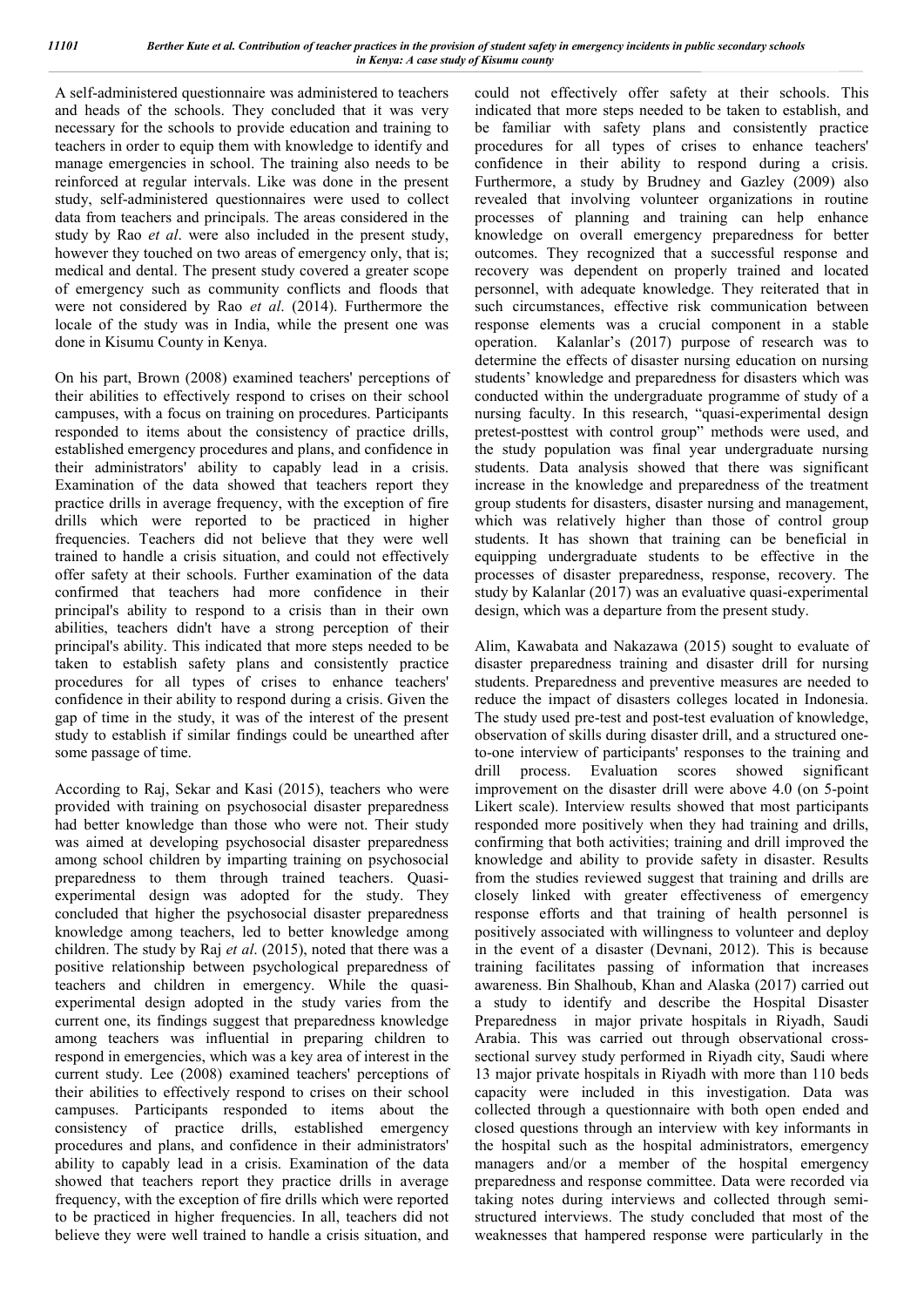A self-administered questionnaire was administered to teachers and heads of the schools. They concluded that it was very necessary for the schools to provide education and training to teachers in order to equip them with knowledge to identify and manage emergencies in school. The training also needs to be reinforced at regular intervals. Like was done in the present study, self-administered questionnaires were used to collect data from teachers and principals. The areas considered in the study by Rao *et al*. were also included in the present study, however they touched on two areas of emergency only, that is; medical and dental. The present study covered a greater scope of emergency such as community conflicts and floods that were not considered by Rao *et al*. (2014). Furthermore the locale of the study was in India, while the present one was done in Kisumu County in Kenya.

On his part, Brown (2008) examined teachers' perceptions of their abilities to effectively respond to crises on their school campuses, with a focus on training on procedures. Participants responded to items about the consistency of practice drills, established emergency procedures and plans, and confidence in their administrators' ability to capably lead in a crisis. Examination of the data showed that teachers report they practice drills in average frequency, with the exception of fire drills which were reported to be practiced in higher frequencies. Teachers did not believe that they were well trained to handle a crisis situation, and could not effectively offer safety at their schools. Further examination of the data confirmed that teachers had more confidence in their principal's ability to respond to a crisis than in their own abilities, teachers didn't have a strong perception of their principal's ability. This indicated that more steps needed to be taken to establish safety plans and consistently practice procedures for all types of crises to enhance teachers' confidence in their ability to respond during a crisis. Given the gap of time in the study, it was of the interest of the present study to establish if similar findings could be unearthed after some passage of time.

According to Raj, Sekar and Kasi (2015), teachers who were provided with training on psychosocial disaster preparedness had better knowledge than those who were not. Their study was aimed at developing psychosocial disaster preparedness among school children by imparting training on psychosocial preparedness to them through trained teachers. Quasiexperimental design was adopted for the study. They concluded that higher the psychosocial disaster preparedness knowledge among teachers, led to better knowledge among children. The study by Raj *et al*. (2015), noted that there was a positive relationship between psychological preparedness of teachers and children in emergency. While the quasiexperimental design adopted in the study varies from the current one, its findings suggest that preparedness knowledge among teachers was influential in preparing children to respond in emergencies, which was a key area of interest in the current study. Lee (2008) examined teachers' perceptions of their abilities to effectively respond to crises on their school campuses. Participants responded to items about the consistency of practice drills, established emergency procedures and plans, and confidence in their administrators' ability to capably lead in a crisis. Examination of the data showed that teachers report they practice drills in average frequency, with the exception of fire drills which were reported to be practiced in higher frequencies. In all, teachers did not believe they were well trained to handle a crisis situation, and

could not effectively offer safety at their schools. This indicated that more steps needed to be taken to establish, and be familiar with safety plans and consistently practice procedures for all types of crises to enhance teachers' confidence in their ability to respond during a crisis. Furthermore, a study by Brudney and Gazley (2009) also revealed that involving volunteer organizations in routine processes of planning and training can help enhance knowledge on overall emergency preparedness for better outcomes. They recognized that a successful response and recovery was dependent on properly trained and located personnel, with adequate knowledge. They reiterated that in such circumstances, effective risk communication between response elements was a crucial component in a stable operation. Kalanlar's (2017) purpose of research was to determine the effects of disaster nursing education on nursing students' knowledge and preparedness for disasters which was conducted within the undergraduate programme of study of a nursing faculty. In this research, "quasi-experimental design pretest-posttest with control group" methods were used, and the study population was final year undergraduate nursing students. Data analysis showed that there was significant increase in the knowledge and preparedness of the treatment group students for disasters, disaster nursing and management, which was relatively higher than those of control group students. It has shown that training can be beneficial in equipping undergraduate students to be effective in the processes of disaster preparedness, response, recovery. The study by Kalanlar (2017) was an evaluative quasi-experimental design, which was a departure from the present study.

Alim, Kawabata and Nakazawa (2015) sought to evaluate of disaster preparedness training and disaster drill for nursing students. Preparedness and preventive measures are needed to reduce the impact of disasters colleges located in Indonesia. The study used pre-test and post-test evaluation of knowledge, observation of skills during disaster drill, and a structured oneto-one interview of participants' responses to the training and drill process. Evaluation scores showed significant improvement on the disaster drill were above 4.0 (on 5-point Likert scale). Interview results showed that most participants responded more positively when they had training and drills, confirming that both activities; training and drill improved the knowledge and ability to provide safety in disaster. Results from the studies reviewed suggest that training and drills are closely linked with greater effectiveness of emergency response efforts and that training of health personnel is positively associated with willingness to volunteer and deploy in the event of a disaster (Devnani, 2012). This is because training facilitates passing of information that increases awareness. Bin Shalhoub, Khan and Alaska (2017) carried out a study to identify and describe the Hospital Disaster Preparedness in major private hospitals in Riyadh, Saudi Arabia. This was carried out through observational crosssectional survey study performed in Riyadh city, Saudi where 13 major private hospitals in Riyadh with more than 110 beds capacity were included in this investigation. Data was collected through a questionnaire with both open ended and closed questions through an interview with key informants in the hospital such as the hospital administrators, emergency managers and/or a member of the hospital emergency preparedness and response committee. Data were recorded via taking notes during interviews and collected through semistructured interviews. The study concluded that most of the weaknesses that hampered response were particularly in the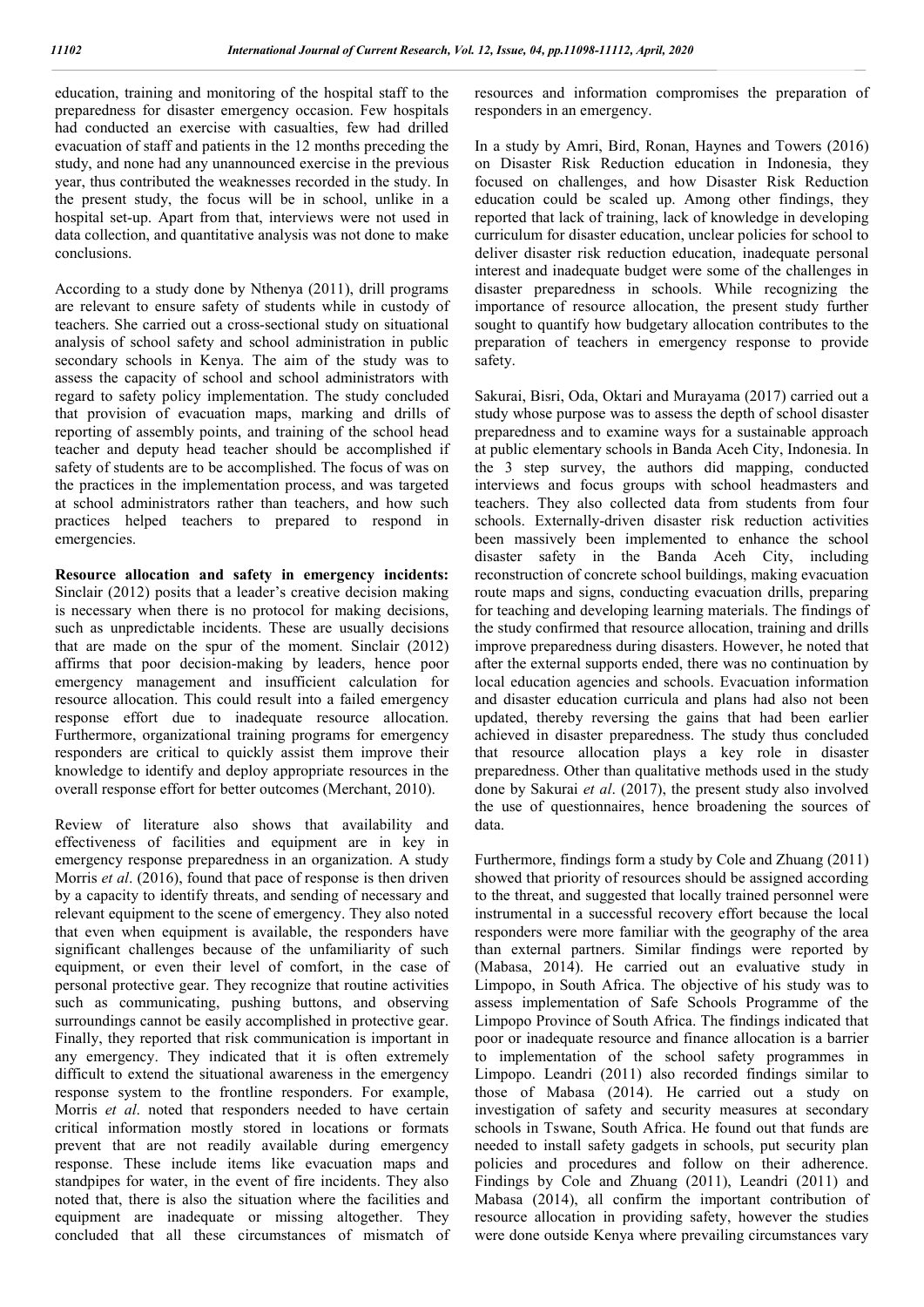education, training and monitoring of the hospital staff to the preparedness for disaster emergency occasion. Few hospitals had conducted an exercise with casualties, few had drilled evacuation of staff and patients in the 12 months preceding the study, and none had any unannounced exercise in the previous year, thus contributed the weaknesses recorded in the study. In the present study, the focus will be in school, unlike in a hospital set-up. Apart from that, interviews were not used in data collection, and quantitative analysis was not done to make conclusions.

According to a study done by Nthenya (2011), drill programs are relevant to ensure safety of students while in custody of teachers. She carried out a cross-sectional study on situational analysis of school safety and school administration in public secondary schools in Kenya. The aim of the study was to assess the capacity of school and school administrators with regard to safety policy implementation. The study concluded that provision of evacuation maps, marking and drills of reporting of assembly points, and training of the school head teacher and deputy head teacher should be accomplished if safety of students are to be accomplished. The focus of was on the practices in the implementation process, and was targeted at school administrators rather than teachers, and how such practices helped teachers to prepared to respond in emergencies.

**Resource allocation and safety in emergency incidents:**  Sinclair (2012) posits that a leader's creative decision making is necessary when there is no protocol for making decisions, such as unpredictable incidents. These are usually decisions that are made on the spur of the moment. Sinclair (2012) affirms that poor decision-making by leaders, hence poor emergency management and insufficient calculation for resource allocation. This could result into a failed emergency response effort due to inadequate resource allocation. Furthermore, organizational training programs for emergency responders are critical to quickly assist them improve their knowledge to identify and deploy appropriate resources in the overall response effort for better outcomes (Merchant, 2010).

Review of literature also shows that availability and effectiveness of facilities and equipment are in key in emergency response preparedness in an organization. A study Morris *et al*. (2016), found that pace of response is then driven by a capacity to identify threats, and sending of necessary and relevant equipment to the scene of emergency. They also noted that even when equipment is available, the responders have significant challenges because of the unfamiliarity of such equipment, or even their level of comfort, in the case of personal protective gear. They recognize that routine activities such as communicating, pushing buttons, and observing surroundings cannot be easily accomplished in protective gear. Finally, they reported that risk communication is important in any emergency. They indicated that it is often extremely difficult to extend the situational awareness in the emergency response system to the frontline responders. For example, Morris *et al*. noted that responders needed to have certain critical information mostly stored in locations or formats prevent that are not readily available during emergency response. These include items like evacuation maps and standpipes for water, in the event of fire incidents. They also noted that, there is also the situation where the facilities and equipment are inadequate or missing altogether. They concluded that all these circumstances of mismatch of resources and information compromises the preparation of responders in an emergency.

In a study by Amri, Bird, Ronan, Haynes and Towers (2016) on Disaster Risk Reduction education in Indonesia, they focused on challenges, and how Disaster Risk Reduction education could be scaled up. Among other findings, they reported that lack of training, lack of knowledge in developing curriculum for disaster education, unclear policies for school to deliver disaster risk reduction education, inadequate personal interest and inadequate budget were some of the challenges in disaster preparedness in schools. While recognizing the importance of resource allocation, the present study further sought to quantify how budgetary allocation contributes to the preparation of teachers in emergency response to provide safety.

Sakurai, Bisri, Oda, Oktari and Murayama (2017) carried out a study whose purpose was to assess the depth of school disaster preparedness and to examine ways for a sustainable approach at public elementary schools in Banda Aceh City, Indonesia. In the 3 step survey, the authors did mapping, conducted interviews and focus groups with school headmasters and teachers. They also collected data from students from four schools. Externally-driven disaster risk reduction activities been massively been implemented to enhance the school disaster safety in the Banda Aceh City, including reconstruction of concrete school buildings, making evacuation route maps and signs, conducting evacuation drills, preparing for teaching and developing learning materials. The findings of the study confirmed that resource allocation, training and drills improve preparedness during disasters. However, he noted that after the external supports ended, there was no continuation by local education agencies and schools. Evacuation information and disaster education curricula and plans had also not been updated, thereby reversing the gains that had been earlier achieved in disaster preparedness. The study thus concluded that resource allocation plays a key role in disaster preparedness. Other than qualitative methods used in the study done by Sakurai *et al*. (2017), the present study also involved the use of questionnaires, hence broadening the sources of data.

Furthermore, findings form a study by Cole and Zhuang (2011) showed that priority of resources should be assigned according to the threat, and suggested that locally trained personnel were instrumental in a successful recovery effort because the local responders were more familiar with the geography of the area than external partners. Similar findings were reported by (Mabasa, 2014). He carried out an evaluative study in Limpopo, in South Africa. The objective of his study was to assess implementation of Safe Schools Programme of the Limpopo Province of South Africa. The findings indicated that poor or inadequate resource and finance allocation is a barrier to implementation of the school safety programmes in Limpopo. Leandri (2011) also recorded findings similar to those of Mabasa (2014). He carried out a study on investigation of safety and security measures at secondary schools in Tswane, South Africa. He found out that funds are needed to install safety gadgets in schools, put security plan policies and procedures and follow on their adherence. Findings by Cole and Zhuang (2011), Leandri (2011) and Mabasa (2014), all confirm the important contribution of resource allocation in providing safety, however the studies were done outside Kenya where prevailing circumstances vary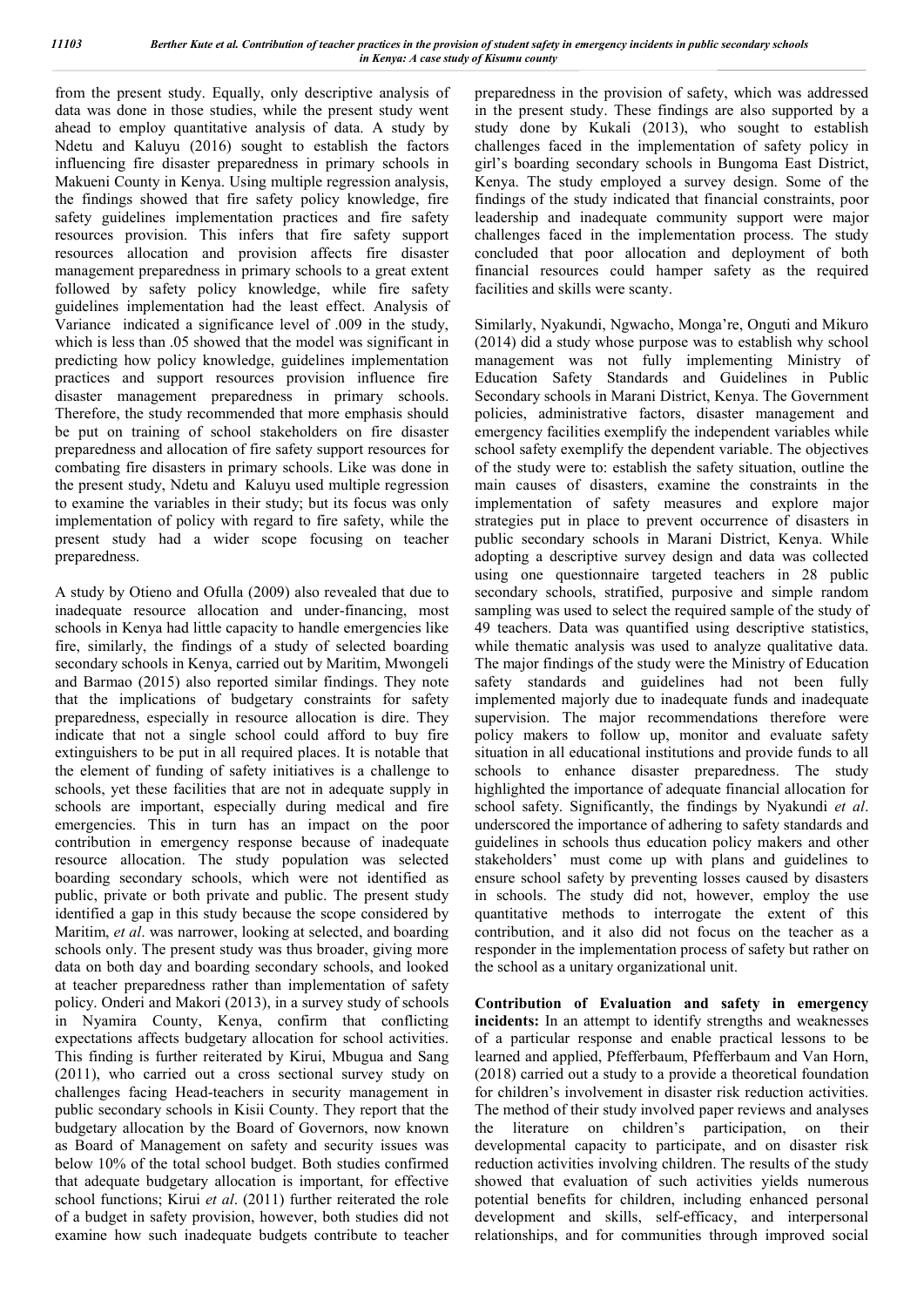from the present study. Equally, only descriptive analysis of data was done in those studies, while the present study went ahead to employ quantitative analysis of data. A study by Ndetu and Kaluyu (2016) sought to establish the factors influencing fire disaster preparedness in primary schools in Makueni County in Kenya. Using multiple regression analysis, the findings showed that fire safety policy knowledge, fire safety guidelines implementation practices and fire safety resources provision. This infers that fire safety support resources allocation and provision affects fire disaster management preparedness in primary schools to a great extent followed by safety policy knowledge, while fire safety guidelines implementation had the least effect. Analysis of Variance indicated a significance level of .009 in the study, which is less than .05 showed that the model was significant in predicting how policy knowledge, guidelines implementation practices and support resources provision influence fire disaster management preparedness in primary schools. Therefore, the study recommended that more emphasis should be put on training of school stakeholders on fire disaster preparedness and allocation of fire safety support resources for combating fire disasters in primary schools. Like was done in the present study, Ndetu and Kaluyu used multiple regression to examine the variables in their study; but its focus was only implementation of policy with regard to fire safety, while the present study had a wider scope focusing on teacher preparedness.

A study by Otieno and Ofulla (2009) also revealed that due to inadequate resource allocation and under-financing, most schools in Kenya had little capacity to handle emergencies like fire, similarly, the findings of a study of selected boarding secondary schools in Kenya, carried out by Maritim, Mwongeli and Barmao (2015) also reported similar findings. They note that the implications of budgetary constraints for safety preparedness, especially in resource allocation is dire. They indicate that not a single school could afford to buy fire extinguishers to be put in all required places. It is notable that the element of funding of safety initiatives is a challenge to schools, yet these facilities that are not in adequate supply in schools are important, especially during medical and fire emergencies. This in turn has an impact on the poor contribution in emergency response because of inadequate resource allocation. The study population was selected boarding secondary schools, which were not identified as public, private or both private and public. The present study identified a gap in this study because the scope considered by Maritim, *et al*. was narrower, looking at selected, and boarding schools only. The present study was thus broader, giving more data on both day and boarding secondary schools, and looked at teacher preparedness rather than implementation of safety policy. Onderi and Makori (2013), in a survey study of schools in Nyamira County, Kenya, confirm that conflicting expectations affects budgetary allocation for school activities. This finding is further reiterated by Kirui, Mbugua and Sang (2011), who carried out a cross sectional survey study on challenges facing Head-teachers in security management in public secondary schools in Kisii County. They report that the budgetary allocation by the Board of Governors, now known as Board of Management on safety and security issues was below 10% of the total school budget. Both studies confirmed that adequate budgetary allocation is important, for effective school functions; Kirui *et al*. (2011) further reiterated the role of a budget in safety provision, however, both studies did not examine how such inadequate budgets contribute to teacher

preparedness in the provision of safety, which was addressed in the present study. These findings are also supported by a study done by Kukali (2013), who sought to establish challenges faced in the implementation of safety policy in girl's boarding secondary schools in Bungoma East District, Kenya. The study employed a survey design. Some of the findings of the study indicated that financial constraints, poor leadership and inadequate community support were major challenges faced in the implementation process. The study concluded that poor allocation and deployment of both financial resources could hamper safety as the required facilities and skills were scanty.

Similarly, Nyakundi, Ngwacho, Monga're, Onguti and Mikuro (2014) did a study whose purpose was to establish why school management was not fully implementing Ministry of Education Safety Standards and Guidelines in Public Secondary schools in Marani District, Kenya. The Government policies, administrative factors, disaster management and emergency facilities exemplify the independent variables while school safety exemplify the dependent variable. The objectives of the study were to: establish the safety situation, outline the main causes of disasters, examine the constraints in the implementation of safety measures and explore major strategies put in place to prevent occurrence of disasters in public secondary schools in Marani District, Kenya. While adopting a descriptive survey design and data was collected using one questionnaire targeted teachers in 28 public secondary schools, stratified, purposive and simple random sampling was used to select the required sample of the study of 49 teachers. Data was quantified using descriptive statistics, while thematic analysis was used to analyze qualitative data. The major findings of the study were the Ministry of Education safety standards and guidelines had not been fully implemented majorly due to inadequate funds and inadequate supervision. The major recommendations therefore were policy makers to follow up, monitor and evaluate safety situation in all educational institutions and provide funds to all schools to enhance disaster preparedness. The study highlighted the importance of adequate financial allocation for school safety. Significantly, the findings by Nyakundi *et al*. underscored the importance of adhering to safety standards and guidelines in schools thus education policy makers and other stakeholders' must come up with plans and guidelines to ensure school safety by preventing losses caused by disasters in schools. The study did not, however, employ the use quantitative methods to interrogate the extent of this contribution, and it also did not focus on the teacher as a responder in the implementation process of safety but rather on the school as a unitary organizational unit.

**Contribution of Evaluation and safety in emergency incidents:** In an attempt to identify strengths and weaknesses of a particular response and enable practical lessons to be learned and applied, Pfefferbaum, Pfefferbaum and Van Horn, (2018) carried out a study to a provide a theoretical foundation for children's involvement in disaster risk reduction activities. The method of their study involved paper reviews and analyses the literature on children's participation, on their developmental capacity to participate, and on disaster risk reduction activities involving children. The results of the study showed that evaluation of such activities yields numerous potential benefits for children, including enhanced personal development and skills, self-efficacy, and interpersonal relationships, and for communities through improved social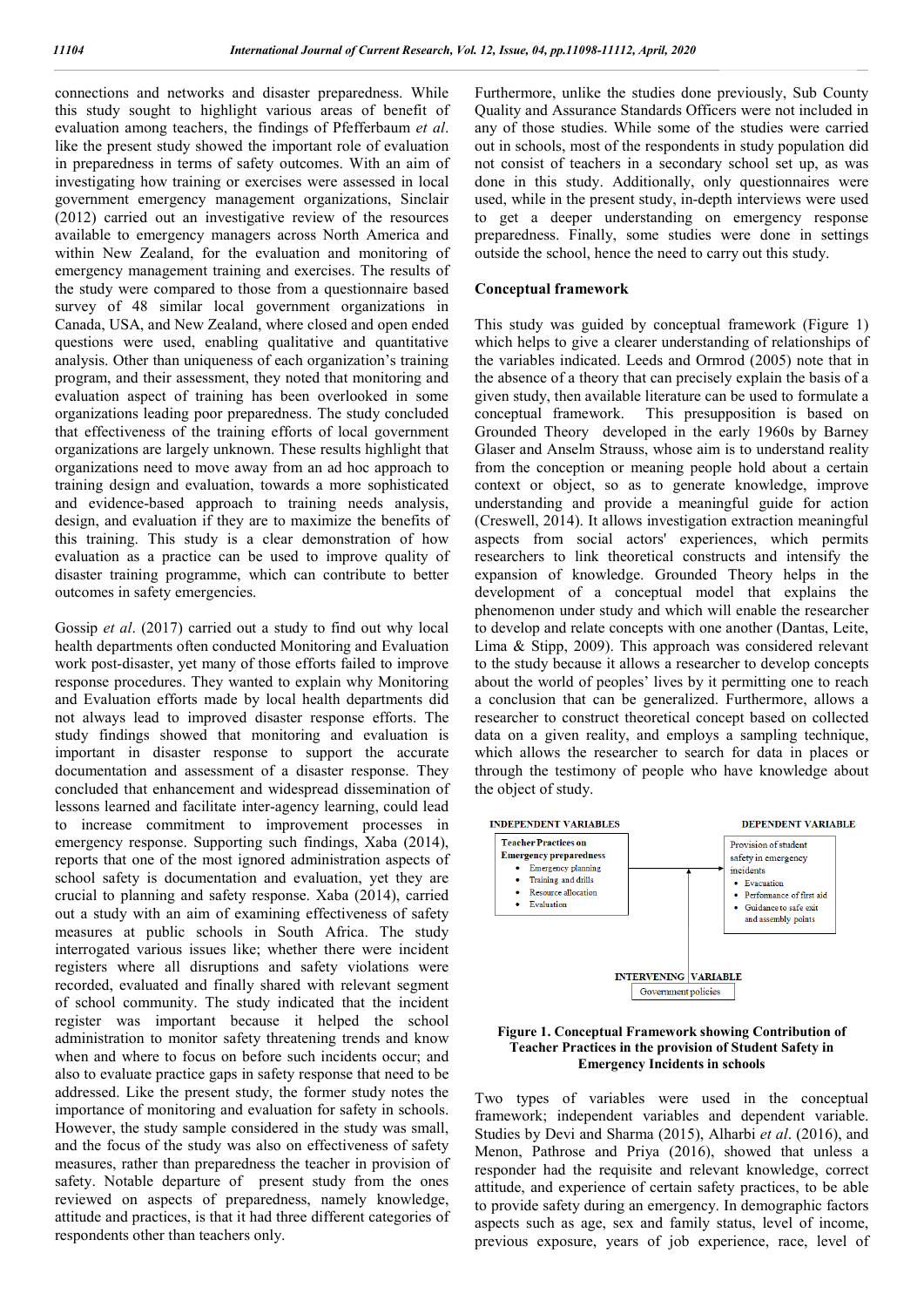connections and networks and disaster preparedness. While this study sought to highlight various areas of benefit of evaluation among teachers, the findings of Pfefferbaum *et al*. like the present study showed the important role of evaluation in preparedness in terms of safety outcomes. With an aim of investigating how training or exercises were assessed in local government emergency management organizations, Sinclair (2012) carried out an investigative review of the resources available to emergency managers across North America and within New Zealand, for the evaluation and monitoring of emergency management training and exercises. The results of the study were compared to those from a questionnaire based survey of 48 similar local government organizations in Canada, USA, and New Zealand, where closed and open ended questions were used, enabling qualitative and quantitative analysis. Other than uniqueness of each organization's training program, and their assessment, they noted that monitoring and evaluation aspect of training has been overlooked in some organizations leading poor preparedness. The study concluded that effectiveness of the training efforts of local government organizations are largely unknown. These results highlight that organizations need to move away from an ad hoc approach to training design and evaluation, towards a more sophisticated and evidence-based approach to training needs analysis, design, and evaluation if they are to maximize the benefits of this training. This study is a clear demonstration of how evaluation as a practice can be used to improve quality of disaster training programme, which can contribute to better outcomes in safety emergencies.

Gossip *et al*. (2017) carried out a study to find out why local health departments often conducted Monitoring and Evaluation work post-disaster, yet many of those efforts failed to improve response procedures. They wanted to explain why Monitoring and Evaluation efforts made by local health departments did not always lead to improved disaster response efforts. The study findings showed that monitoring and evaluation is important in disaster response to support the accurate documentation and assessment of a disaster response. They concluded that enhancement and widespread dissemination of lessons learned and facilitate inter-agency learning, could lead to increase commitment to improvement processes in emergency response. Supporting such findings, Xaba (2014), reports that one of the most ignored administration aspects of school safety is documentation and evaluation, yet they are crucial to planning and safety response. Xaba (2014), carried out a study with an aim of examining effectiveness of safety measures at public schools in South Africa. The study interrogated various issues like; whether there were incident registers where all disruptions and safety violations were recorded, evaluated and finally shared with relevant segment of school community. The study indicated that the incident register was important because it helped the school administration to monitor safety threatening trends and know when and where to focus on before such incidents occur; and also to evaluate practice gaps in safety response that need to be addressed. Like the present study, the former study notes the importance of monitoring and evaluation for safety in schools. However, the study sample considered in the study was small, and the focus of the study was also on effectiveness of safety measures, rather than preparedness the teacher in provision of safety. Notable departure of present study from the ones reviewed on aspects of preparedness, namely knowledge, attitude and practices, is that it had three different categories of respondents other than teachers only.

Furthermore, unlike the studies done previously, Sub County Quality and Assurance Standards Officers were not included in any of those studies. While some of the studies were carried out in schools, most of the respondents in study population did not consist of teachers in a secondary school set up, as was done in this study. Additionally, only questionnaires were used, while in the present study, in-depth interviews were used to get a deeper understanding on emergency response preparedness. Finally, some studies were done in settings outside the school, hence the need to carry out this study.

#### **Conceptual framework**

This study was guided by conceptual framework (Figure 1) which helps to give a clearer understanding of relationships of the variables indicated. Leeds and Ormrod (2005) note that in the absence of a theory that can precisely explain the basis of a given study, then available literature can be used to formulate a conceptual framework. This presupposition is based on Grounded Theory developed in the early 1960s by Barney Glaser and Anselm Strauss, whose aim is to understand reality from the conception or meaning people hold about a certain context or object, so as to generate knowledge, improve understanding and provide a meaningful guide for action (Creswell, 2014). It allows investigation extraction meaningful aspects from social actors' experiences, which permits researchers to link theoretical constructs and intensify the expansion of knowledge. Grounded Theory helps in the development of a conceptual model that explains the phenomenon under study and which will enable the researcher to develop and relate concepts with one another (Dantas, Leite, Lima & Stipp, 2009). This approach was considered relevant to the study because it allows a researcher to develop concepts about the world of peoples' lives by it permitting one to reach a conclusion that can be generalized. Furthermore, allows a researcher to construct theoretical concept based on collected data on a given reality, and employs a sampling technique, which allows the researcher to search for data in places or through the testimony of people who have knowledge about the object of study.



#### **Figure 1. Conceptual Framework showing Contribution of Teacher Practices in the provision of Student Safety in Emergency Incidents in schools**

Two types of variables were used in the conceptual framework; independent variables and dependent variable. Studies by Devi and Sharma (2015), Alharbi *et al*. (2016), and Menon, Pathrose and Priya (2016), showed that unless a responder had the requisite and relevant knowledge, correct attitude, and experience of certain safety practices, to be able to provide safety during an emergency. In demographic factors aspects such as age, sex and family status, level of income, previous exposure, years of job experience, race, level of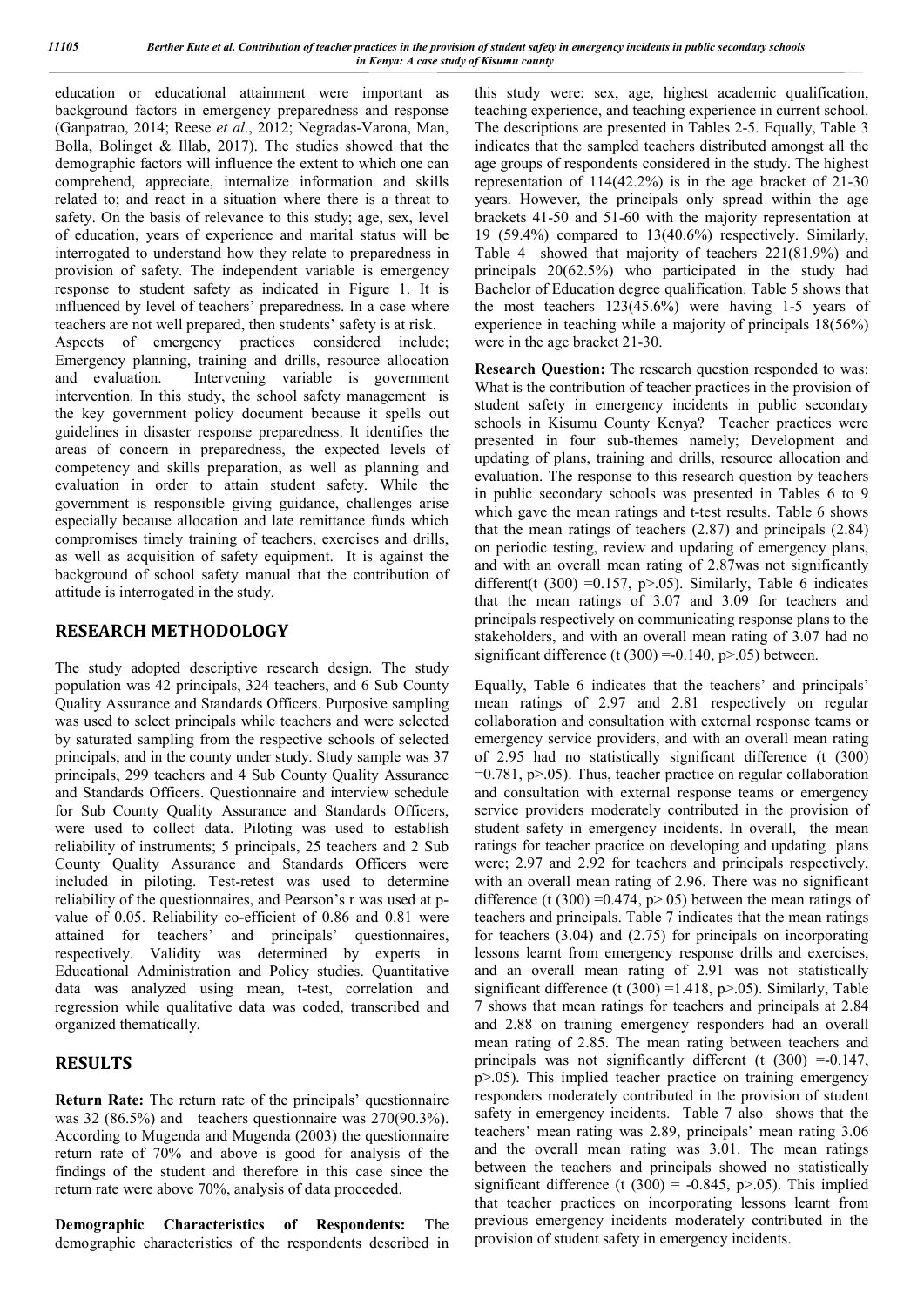education or educational attainment were important as background factors in emergency preparedness and response (Ganpatrao, 2014; Reese *et al*., 2012; Negradas-Varona, Man, Bolla, Bolinget & Illab, 2017). The studies showed that the demographic factors will influence the extent to which one can comprehend, appreciate, internalize information and skills related to; and react in a situation where there is a threat to safety. On the basis of relevance to this study; age, sex, level of education, years of experience and marital status will be interrogated to understand how they relate to preparedness in provision of safety. The independent variable is emergency response to student safety as indicated in Figure 1. It is influenced by level of teachers' preparedness. In a case where teachers are not well prepared, then students' safety is at risk. Aspects of emergency practices considered include; Emergency planning, training and drills, resource allocation and evaluation. Intervening variable is government intervention. In this study, the school safety management is the key government policy document because it spells out guidelines in disaster response preparedness. It identifies the areas of concern in preparedness, the expected levels of competency and skills preparation, as well as planning and evaluation in order to attain student safety. While the government is responsible giving guidance, challenges arise especially because allocation and late remittance funds which compromises timely training of teachers, exercises and drills, as well as acquisition of safety equipment. It is against the background of school safety manual that the contribution of attitude is interrogated in the study.

## **RESEARCH METHODOLOGY**

The study adopted descriptive research design. The study population was 42 principals, 324 teachers, and 6 Sub County Quality Assurance and Standards Officers. Purposive sampling was used to select principals while teachers and were selected by saturated sampling from the respective schools of selected principals, and in the county under study. Study sample was 37 principals, 299 teachers and 4 Sub County Quality Assurance and Standards Officers. Questionnaire and interview schedule for Sub County Quality Assurance and Standards Officers, were used to collect data. Piloting was used to establish reliability of instruments; 5 principals, 25 teachers and 2 Sub County Quality Assurance and Standards Officers were included in piloting. Test-retest was used to determine reliability of the questionnaires, and Pearson's r was used at pvalue of 0.05. Reliability co-efficient of 0.86 and 0.81 were attained for teachers' and principals' questionnaires, respectively. Validity was determined by experts in Educational Administration and Policy studies. Quantitative data was analyzed using mean, t-test, correlation and regression while qualitative data was coded, transcribed and organized thematically.

## **RESULTS**

**Return Rate:** The return rate of the principals' questionnaire was 32 (86.5%) and teachers questionnaire was 270(90.3%). According to Mugenda and Mugenda (2003) the questionnaire return rate of 70% and above is good for analysis of the findings of the student and therefore in this case since the return rate were above 70%, analysis of data proceeded.

**Demographic Characteristics of Respondents:** The demographic characteristics of the respondents described in this study were: sex, age, highest academic qualification, teaching experience, and teaching experience in current school. The descriptions are presented in Tables 2-5. Equally, Table 3 indicates that the sampled teachers distributed amongst all the age groups of respondents considered in the study. The highest representation of 114(42.2%) is in the age bracket of 21-30 years. However, the principals only spread within the age brackets 41-50 and 51-60 with the majority representation at 19 (59.4%) compared to 13(40.6%) respectively. Similarly, Table 4 showed that majority of teachers 221(81.9%) and principals 20(62.5%) who participated in the study had Bachelor of Education degree qualification. Table 5 shows that the most teachers 123(45.6%) were having 1-5 years of experience in teaching while a majority of principals 18(56%) were in the age bracket 21-30.

**Research Question:** The research question responded to was: What is the contribution of teacher practices in the provision of student safety in emergency incidents in public secondary schools in Kisumu County Kenya? Teacher practices were presented in four sub-themes namely; Development and updating of plans, training and drills, resource allocation and evaluation. The response to this research question by teachers in public secondary schools was presented in Tables 6 to 9 which gave the mean ratings and t-test results. Table 6 shows that the mean ratings of teachers (2.87) and principals (2.84) on periodic testing, review and updating of emergency plans, and with an overall mean rating of 2.87was not significantly different(t (300) = 0.157, p > .05). Similarly, Table 6 indicates that the mean ratings of 3.07 and 3.09 for teachers and principals respectively on communicating response plans to the stakeholders, and with an overall mean rating of 3.07 had no significant difference (t  $(300) = 0.140$ , p $> 0.05$ ) between.

Equally, Table 6 indicates that the teachers' and principals' mean ratings of 2.97 and 2.81 respectively on regular collaboration and consultation with external response teams or emergency service providers, and with an overall mean rating of 2.95 had no statistically significant difference (t (300)  $=0.781$ , p $> 0.05$ ). Thus, teacher practice on regular collaboration and consultation with external response teams or emergency service providers moderately contributed in the provision of student safety in emergency incidents. In overall, the mean ratings for teacher practice on developing and updating plans were; 2.97 and 2.92 for teachers and principals respectively, with an overall mean rating of 2.96. There was no significant difference (t (300) = 0.474,  $p$  > 0.05) between the mean ratings of teachers and principals. Table 7 indicates that the mean ratings for teachers (3.04) and (2.75) for principals on incorporating lessons learnt from emergency response drills and exercises, and an overall mean rating of 2.91 was not statistically significant difference (t  $(300)$  =1.418, p>.05). Similarly, Table 7 shows that mean ratings for teachers and principals at 2.84 and 2.88 on training emergency responders had an overall mean rating of 2.85. The mean rating between teachers and principals was not significantly different (t (300) =-0.147, p>.05). This implied teacher practice on training emergency responders moderately contributed in the provision of student safety in emergency incidents. Table 7 also shows that the teachers' mean rating was 2.89, principals' mean rating 3.06 and the overall mean rating was 3.01. The mean ratings between the teachers and principals showed no statistically significant difference (t  $(300) = -0.845$ , p>.05). This implied that teacher practices on incorporating lessons learnt from previous emergency incidents moderately contributed in the provision of student safety in emergency incidents.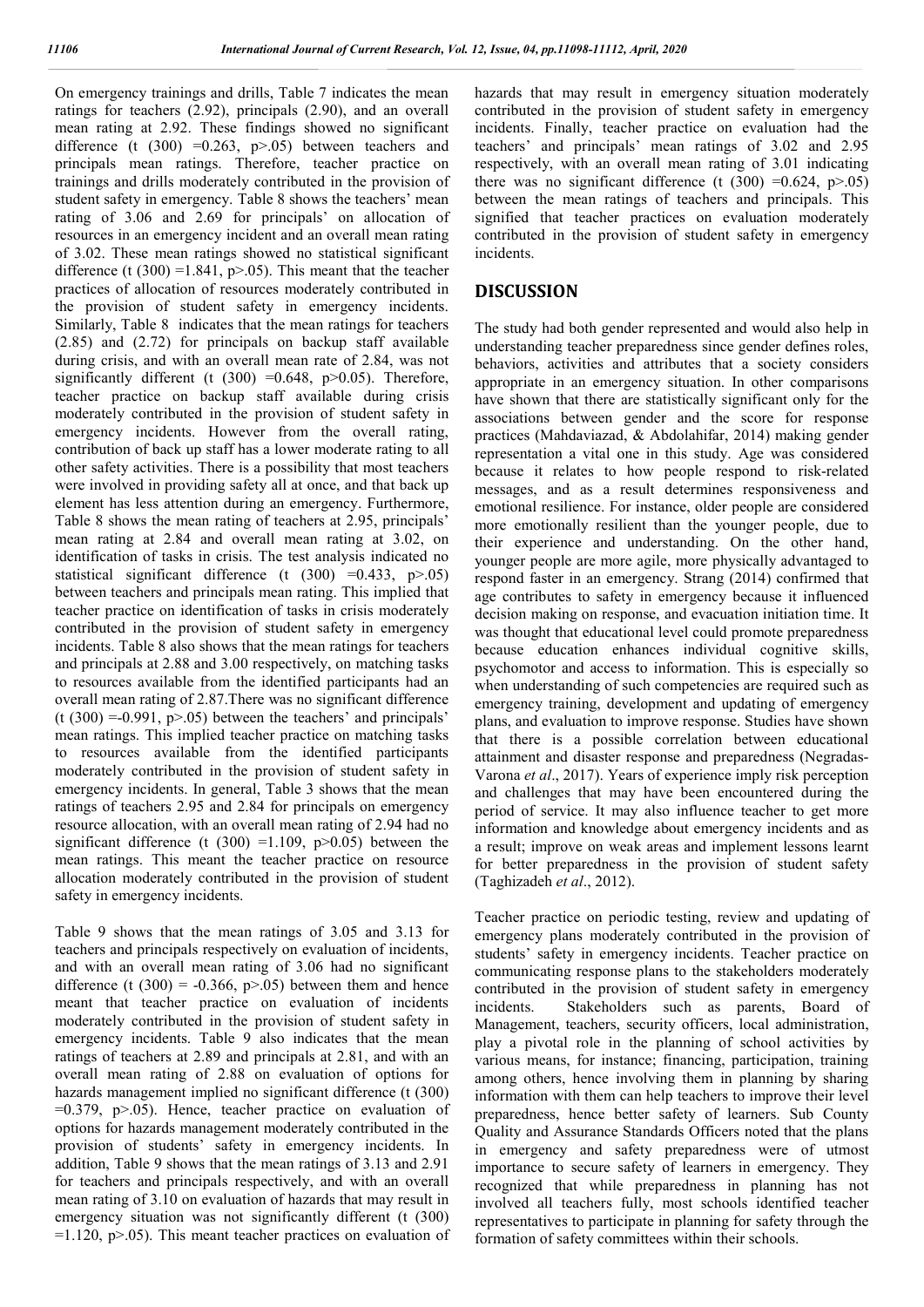On emergency trainings and drills, Table 7 indicates the mean ratings for teachers (2.92), principals (2.90), and an overall mean rating at 2.92. These findings showed no significant difference (t  $(300) = 0.263$ ,  $p > .05$ ) between teachers and principals mean ratings. Therefore, teacher practice on trainings and drills moderately contributed in the provision of student safety in emergency. Table 8 shows the teachers' mean rating of 3.06 and 2.69 for principals' on allocation of resources in an emergency incident and an overall mean rating of 3.02. These mean ratings showed no statistical significant difference (t  $(300)$  =1.841, p>.05). This meant that the teacher practices of allocation of resources moderately contributed in the provision of student safety in emergency incidents. Similarly, Table 8 indicates that the mean ratings for teachers (2.85) and (2.72) for principals on backup staff available during crisis, and with an overall mean rate of 2.84, was not significantly different (t  $(300) = 0.648$ ,  $p > 0.05$ ). Therefore, teacher practice on backup staff available during crisis moderately contributed in the provision of student safety in emergency incidents. However from the overall rating, contribution of back up staff has a lower moderate rating to all other safety activities. There is a possibility that most teachers were involved in providing safety all at once, and that back up element has less attention during an emergency. Furthermore, Table 8 shows the mean rating of teachers at 2.95, principals' mean rating at 2.84 and overall mean rating at 3.02, on identification of tasks in crisis. The test analysis indicated no statistical significant difference (t  $(300) = 0.433$ , p>.05) between teachers and principals mean rating. This implied that teacher practice on identification of tasks in crisis moderately contributed in the provision of student safety in emergency incidents. Table 8 also shows that the mean ratings for teachers and principals at 2.88 and 3.00 respectively, on matching tasks to resources available from the identified participants had an overall mean rating of 2.87.There was no significant difference  $(t (300) = 0.991, p > 0.05)$  between the teachers' and principals' mean ratings. This implied teacher practice on matching tasks to resources available from the identified participants moderately contributed in the provision of student safety in emergency incidents. In general, Table 3 shows that the mean ratings of teachers 2.95 and 2.84 for principals on emergency resource allocation, with an overall mean rating of 2.94 had no significant difference (t  $(300)$  =1.109, p>0.05) between the mean ratings. This meant the teacher practice on resource allocation moderately contributed in the provision of student safety in emergency incidents.

Table 9 shows that the mean ratings of 3.05 and 3.13 for teachers and principals respectively on evaluation of incidents, and with an overall mean rating of 3.06 had no significant difference (t  $(300) = -0.366$ , p>.05) between them and hence meant that teacher practice on evaluation of incidents moderately contributed in the provision of student safety in emergency incidents. Table 9 also indicates that the mean ratings of teachers at 2.89 and principals at 2.81, and with an overall mean rating of 2.88 on evaluation of options for hazards management implied no significant difference (t (300)  $=0.379$ ,  $p>0.05$ ). Hence, teacher practice on evaluation of options for hazards management moderately contributed in the provision of students' safety in emergency incidents. In addition, Table 9 shows that the mean ratings of 3.13 and 2.91 for teachers and principals respectively, and with an overall mean rating of 3.10 on evaluation of hazards that may result in emergency situation was not significantly different (t (300)  $=1.120$ , p $> 0.05$ ). This meant teacher practices on evaluation of hazards that may result in emergency situation moderately contributed in the provision of student safety in emergency incidents. Finally, teacher practice on evaluation had the teachers' and principals' mean ratings of 3.02 and 2.95 respectively, with an overall mean rating of 3.01 indicating there was no significant difference (t  $(300) = 0.624$ , p>.05) between the mean ratings of teachers and principals. This signified that teacher practices on evaluation moderately contributed in the provision of student safety in emergency incidents.

## **DISCUSSION**

The study had both gender represented and would also help in understanding teacher preparedness since gender defines roles, behaviors, activities and attributes that a society considers appropriate in an emergency situation. In other comparisons have shown that there are statistically significant only for the associations between gender and the score for response practices (Mahdaviazad, & Abdolahifar, 2014) making gender representation a vital one in this study. Age was considered because it relates to how people respond to risk-related messages, and as a result determines responsiveness and emotional resilience. For instance, older people are considered more emotionally resilient than the younger people, due to their experience and understanding. On the other hand, younger people are more agile, more physically advantaged to respond faster in an emergency. Strang (2014) confirmed that age contributes to safety in emergency because it influenced decision making on response, and evacuation initiation time. It was thought that educational level could promote preparedness because education enhances individual cognitive skills, psychomotor and access to information. This is especially so when understanding of such competencies are required such as emergency training, development and updating of emergency plans, and evaluation to improve response. Studies have shown that there is a possible correlation between educational attainment and disaster response and preparedness (Negradas-Varona *et al*., 2017). Years of experience imply risk perception and challenges that may have been encountered during the period of service. It may also influence teacher to get more information and knowledge about emergency incidents and as a result; improve on weak areas and implement lessons learnt for better preparedness in the provision of student safety (Taghizadeh *et al*., 2012).

Teacher practice on periodic testing, review and updating of emergency plans moderately contributed in the provision of students' safety in emergency incidents. Teacher practice on communicating response plans to the stakeholders moderately contributed in the provision of student safety in emergency incidents. Stakeholders such as parents, Board of Management, teachers, security officers, local administration, play a pivotal role in the planning of school activities by various means, for instance; financing, participation, training among others, hence involving them in planning by sharing information with them can help teachers to improve their level preparedness, hence better safety of learners. Sub County Quality and Assurance Standards Officers noted that the plans in emergency and safety preparedness were of utmost importance to secure safety of learners in emergency. They recognized that while preparedness in planning has not involved all teachers fully, most schools identified teacher representatives to participate in planning for safety through the formation of safety committees within their schools.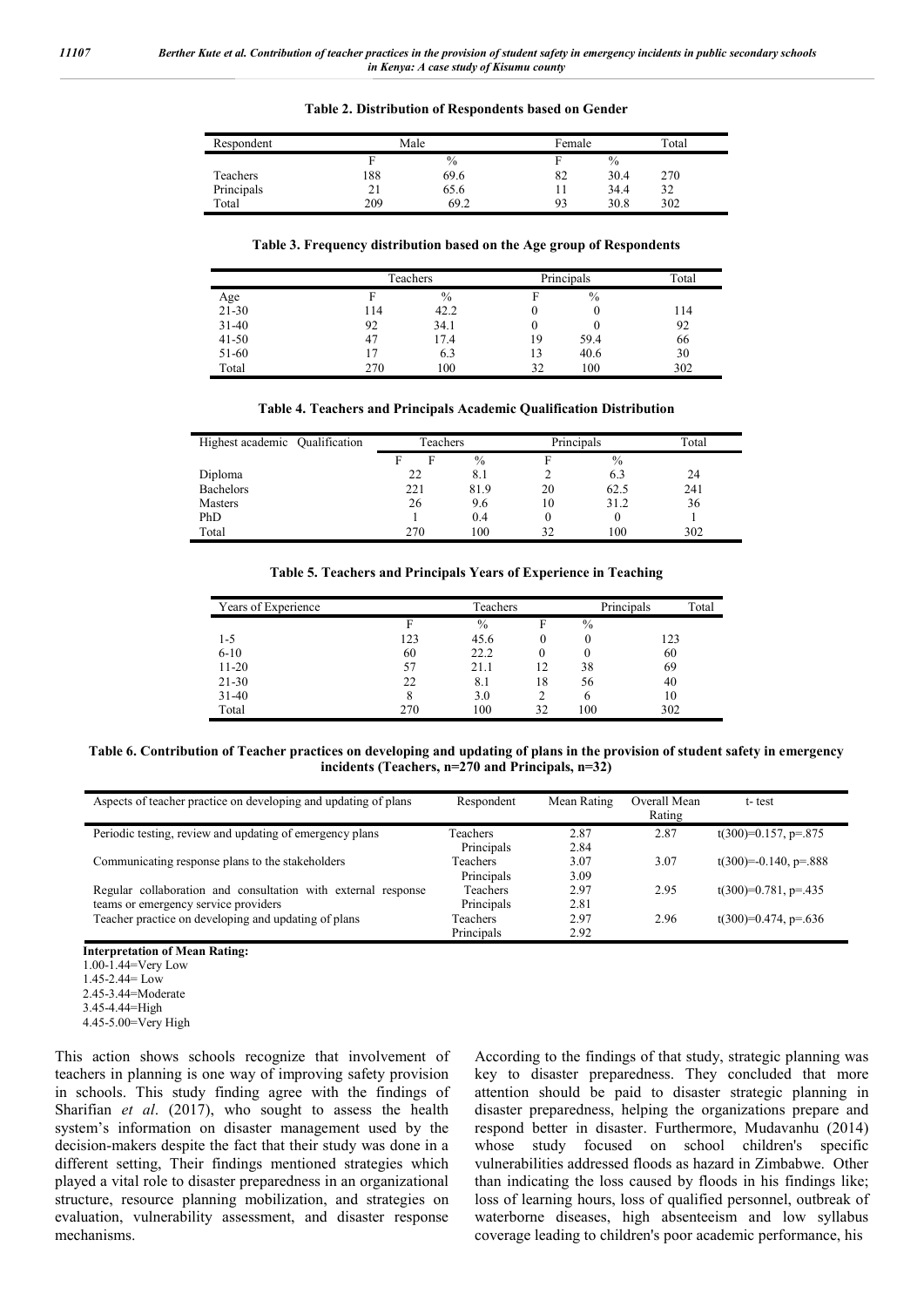| Table 2. Distribution of Respondents based on Gender |  |  |  |
|------------------------------------------------------|--|--|--|
|------------------------------------------------------|--|--|--|

| Respondent | Male |      | Female |      | Total |
|------------|------|------|--------|------|-------|
|            | F    | $\%$ |        | $\%$ |       |
| Teachers   | 188  | 69.6 | 82     | 30.4 | 270   |
| Principals | 21   | 65.6 |        | 34.4 | 32    |
| Total      | 209  | 69.2 | 93     | 30.8 | 302   |

**Table 3. Frequency distribution based on the Age group of Respondents**

|           |     | Teachers      |    | Principals | Total |
|-----------|-----|---------------|----|------------|-------|
| Age       |     | $\frac{0}{0}$ | Е  | $\%$       |       |
| $21 - 30$ | 114 | 42.2          |    | 0          | 114   |
| $31-40$   | 92  | 34.1          |    | U          | 92    |
| $41 - 50$ | 47  | 17.4          | 19 | 59.4       | 66    |
| 51-60     |     | 6.3           | 13 | 40.6       | 30    |
| Total     | 270 | 100           | 32 | 100        | 302   |

**Table 4. Teachers and Principals Academic Qualification Distribution**

| Highest academic Qualification | Teachers |               | Principals |               | Total |
|--------------------------------|----------|---------------|------------|---------------|-------|
|                                | F        | $\frac{0}{0}$ | F          | $\frac{0}{0}$ |       |
| Diploma                        | 22       | 8.1           |            | 6.3           | 24    |
| <b>Bachelors</b>               | 221      | 81.9          | 20         | 62.5          | 241   |
| <b>Masters</b>                 | 26       | 9.6           | 10         | 31.2          | 36    |
| PhD                            |          | 0.4           | 0          | $\theta$      |       |
| Total                          | 270      | 100           | 32         | 100           | 302   |

**Table 5. Teachers and Principals Years of Experience in Teaching**

| Years of Experience |     | Teachers |        | Principals<br>Total |     |
|---------------------|-----|----------|--------|---------------------|-----|
|                     | F   | $\%$     | F      | $\%$                |     |
| 1-5                 | 123 | 45.6     | 0      |                     | 123 |
| $6-10$              | 60  | 22.2     | $_{0}$ |                     | 60  |
| $11-20$             | 57  | 21.1     | 12     | 38                  | 69  |
| $21 - 30$           | 22  | 8.1      | 18     | 56                  | 40  |
| $31-40$             |     | 3.0      |        | h                   | 10  |
| Total               | 270 | 100      | 32     | 100                 | 302 |

**Table 6. Contribution of Teacher practices on developing and updating of plans in the provision of student safety in emergency incidents (Teachers, n=270 and Principals, n=32)**

| Aspects of teacher practice on developing and updating of plans | Respondent      | Mean Rating | Overall Mean | t-test                  |
|-----------------------------------------------------------------|-----------------|-------------|--------------|-------------------------|
|                                                                 |                 |             | Rating       |                         |
| Periodic testing, review and updating of emergency plans        | Teachers        | 2.87        | 2.87         | $t(300)=0.157$ , p=.875 |
|                                                                 | Principals      | 2.84        |              |                         |
| Communicating response plans to the stakeholders                | Teachers        | 3.07        | 3.07         | $t(300)=0.140, p=.888$  |
|                                                                 | Principals      | 3.09        |              |                         |
| Regular collaboration and consultation with external response   | <b>Teachers</b> | 2.97        | 2.95         | $t(300)=0.781$ , p=.435 |
| teams or emergency service providers                            | Principals      | 2.81        |              |                         |
| Teacher practice on developing and updating of plans            | Teachers        | 2.97        | 2.96         | t(300)=0.474, p=.636    |
|                                                                 | Principals      | 2.92        |              |                         |

**Interpretation of Mean Rating:** 1.00-1.44=Very Low 1.45-2.44= Low

This action shows schools recognize that involvement of teachers in planning is one way of improving safety provision in schools. This study finding agree with the findings of Sharifian *et al*. (2017), who sought to assess the health system's information on disaster management used by the decision-makers despite the fact that their study was done in a different setting, Their findings mentioned strategies which played a vital role to disaster preparedness in an organizational structure, resource planning mobilization, and strategies on evaluation, vulnerability assessment, and disaster response mechanisms.

According to the findings of that study, strategic planning was key to disaster preparedness. They concluded that more attention should be paid to disaster strategic planning in disaster preparedness, helping the organizations prepare and respond better in disaster. Furthermore, Mudavanhu (2014) whose study focused on school children's specific vulnerabilities addressed floods as hazard in Zimbabwe. Other than indicating the loss caused by floods in his findings like; loss of learning hours, loss of qualified personnel, outbreak of waterborne diseases, high absenteeism and low syllabus coverage leading to children's poor academic performance, his

<sup>2.45-3.44=</sup>Moderate

<sup>3.45-4.44=</sup>High

<sup>4.45-5.00=</sup>Very High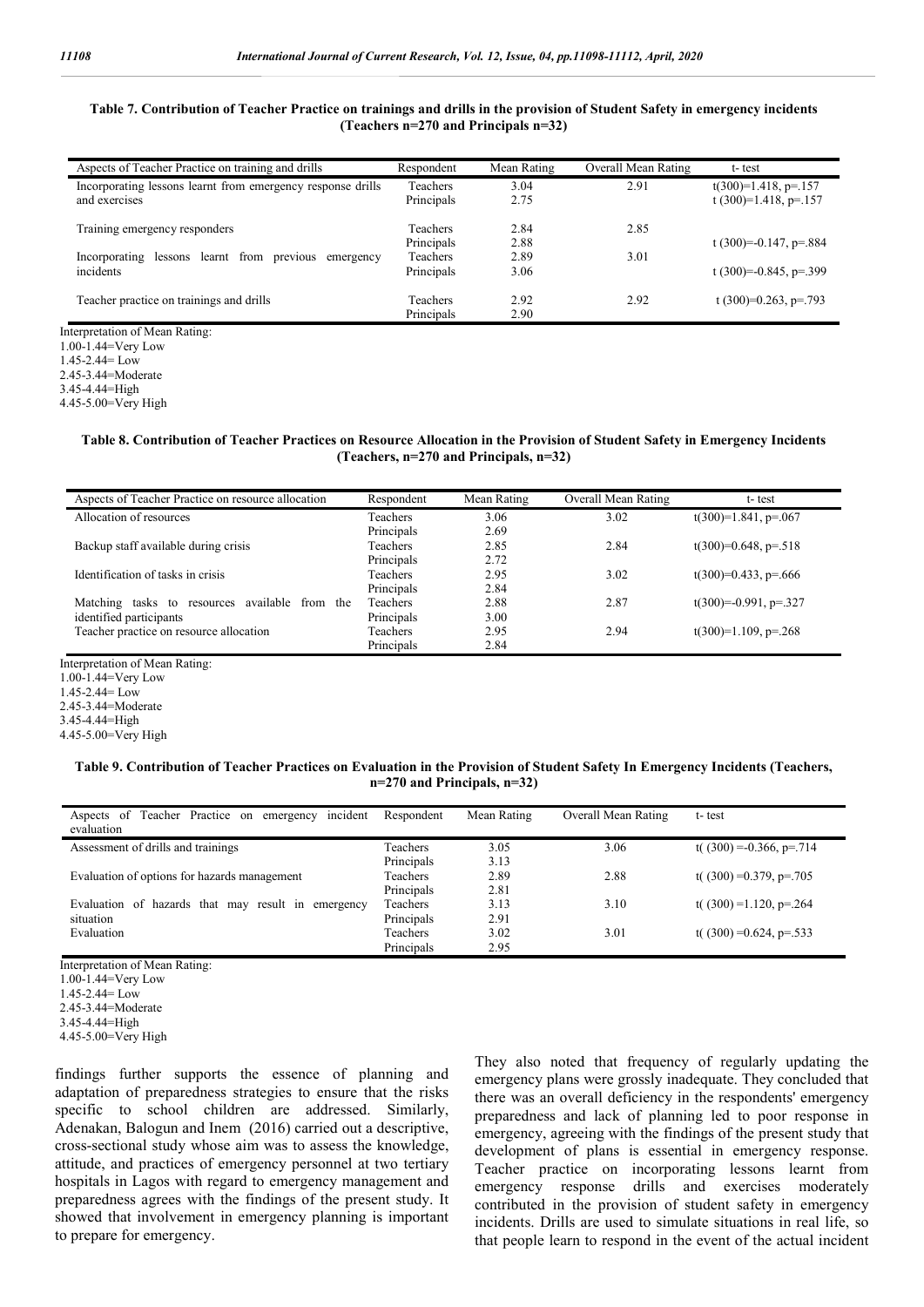#### **Table 7. Contribution of Teacher Practice on trainings and drills in the provision of Student Safety in emergency incidents (Teachers n=270 and Principals n=32)**

| Aspects of Teacher Practice on training and drills                           | Respondent                    | Mean Rating  | Overall Mean Rating | t-test                                           |
|------------------------------------------------------------------------------|-------------------------------|--------------|---------------------|--------------------------------------------------|
| Incorporating lessons learnt from emergency response drills<br>and exercises | Teachers<br>Principals        | 3.04<br>2.75 | 2.91                | $t(300)=1.418$ , p=.157<br>t (300)=1.418, p=.157 |
| Training emergency responders                                                | Teachers<br>Principals        | 2.84<br>2.88 | 2.85                | t $(300)=0.147$ , p=.884                         |
| lessons learnt from previous<br>Incorporating<br>emergency<br>incidents      | <b>Teachers</b><br>Principals | 2.89<br>3.06 | 3.01                | t (300)=-0.845, p=.399                           |
| Teacher practice on trainings and drills                                     | Teachers<br>Principals        | 2.92<br>2.90 | 2.92                | t (300)=0.263, p=.793                            |

1.00-1.44=Very Low 1.45-2.44= Low

2.45-3.44=Moderate 3.45-4.44=High

4.45-5.00=Very High

#### **Table 8. Contribution of Teacher Practices on Resource Allocation in the Provision of Student Safety in Emergency Incidents (Teachers, n=270 and Principals, n=32)**

| Aspects of Teacher Practice on resource allocation      | Respondent      | Mean Rating | Overall Mean Rating | t-test                  |
|---------------------------------------------------------|-----------------|-------------|---------------------|-------------------------|
| Allocation of resources                                 | Teachers        | 3.06        | 3.02                | $t(300)=1.841$ , p=.067 |
|                                                         | Principals      | 2.69        |                     |                         |
| Backup staff available during crisis                    | Teachers        | 2.85        | 2.84                | $t(300)=0.648, p=.518$  |
|                                                         | Principals      | 2.72        |                     |                         |
| Identification of tasks in crisis                       | <b>Teachers</b> | 2.95        | 3.02                | $t(300)=0.433, p=.666$  |
|                                                         | Principals      | 2.84        |                     |                         |
| resources available<br>from the<br>Matching<br>tasks to | <b>Teachers</b> | 2.88        | 2.87                | $t(300)=0.991, p=.327$  |
| identified participants                                 | Principals      | 3.00        |                     |                         |
| Teacher practice on resource allocation                 | Teachers        | 2.95        | 2.94                | $t(300)=1.109$ , p=.268 |
|                                                         | Principals      | 2.84        |                     |                         |

Interpretation of Mean Rating:

1.00-1.44=Very Low

1.45-2.44= Low

2.45-3.44=Moderate

3.45-4.44=High

4.45-5.00=Very High

#### **Table 9. Contribution of Teacher Practices on Evaluation in the Provision of Student Safety In Emergency Incidents (Teachers, n=270 and Principals, n=32)**

| incident<br>Aspects of Teacher Practice on emergency<br>evaluation | Respondent      | Mean Rating | Overall Mean Rating | t-test                      |
|--------------------------------------------------------------------|-----------------|-------------|---------------------|-----------------------------|
| Assessment of drills and trainings                                 | Teachers        | 3.05        | 3.06                | t( $(300) = 0.366$ , p=.714 |
|                                                                    | Principals      | 3.13        |                     |                             |
| Evaluation of options for hazards management                       | Teachers        | 2.89        | 2.88                | t( $(300) = 0.379$ , p=.705 |
|                                                                    | Principals      | 2.81        |                     |                             |
| Evaluation of hazards that may result in emergency                 | Teachers        | 3.13        | 3.10                | t( $(300) = 1.120$ , p=.264 |
| situation                                                          | Principals      | 2.91        |                     |                             |
| Evaluation                                                         | <b>Teachers</b> | 3.02        | 3.01                | t( $(300) = 0.624$ , p=.533 |
|                                                                    | Principals      | 2.95        |                     |                             |

Interpretation of Mean Rating:

1.00-1.44=Very Low

1.45-2.44= Low

2.45-3.44=Moderate

findings further supports the essence of planning and adaptation of preparedness strategies to ensure that the risks specific to school children are addressed. Similarly, Adenakan, Balogun and Inem (2016) carried out a descriptive, cross-sectional study whose aim was to assess the knowledge, attitude, and practices of emergency personnel at two tertiary hospitals in Lagos with regard to emergency management and preparedness agrees with the findings of the present study. It showed that involvement in emergency planning is important to prepare for emergency.

They also noted that frequency of regularly updating the emergency plans were grossly inadequate. They concluded that there was an overall deficiency in the respondents' emergency preparedness and lack of planning led to poor response in emergency, agreeing with the findings of the present study that development of plans is essential in emergency response. Teacher practice on incorporating lessons learnt from emergency response drills and exercises moderately contributed in the provision of student safety in emergency incidents. Drills are used to simulate situations in real life, so that people learn to respond in the event of the actual incident

<sup>3.45-4.44=</sup>High

<sup>4.45-5.00=</sup>Very High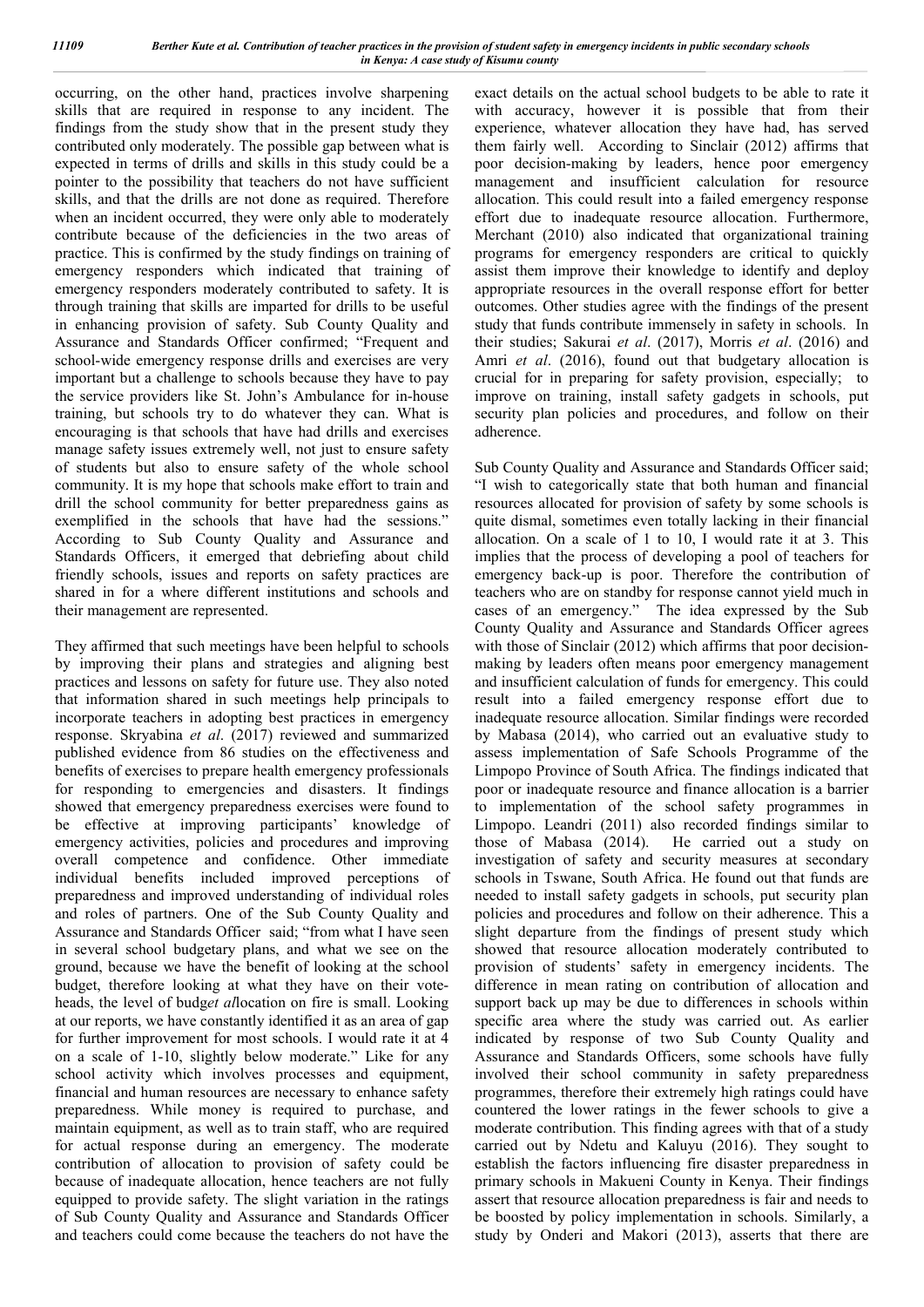occurring, on the other hand, practices involve sharpening skills that are required in response to any incident. The findings from the study show that in the present study they contributed only moderately. The possible gap between what is expected in terms of drills and skills in this study could be a pointer to the possibility that teachers do not have sufficient skills, and that the drills are not done as required. Therefore when an incident occurred, they were only able to moderately contribute because of the deficiencies in the two areas of practice. This is confirmed by the study findings on training of emergency responders which indicated that training of emergency responders moderately contributed to safety. It is through training that skills are imparted for drills to be useful in enhancing provision of safety. Sub County Quality and Assurance and Standards Officer confirmed; "Frequent and school-wide emergency response drills and exercises are very important but a challenge to schools because they have to pay the service providers like St. John's Ambulance for in-house training, but schools try to do whatever they can. What is encouraging is that schools that have had drills and exercises manage safety issues extremely well, not just to ensure safety of students but also to ensure safety of the whole school community. It is my hope that schools make effort to train and drill the school community for better preparedness gains as exemplified in the schools that have had the sessions." According to Sub County Quality and Assurance and Standards Officers, it emerged that debriefing about child friendly schools, issues and reports on safety practices are shared in for a where different institutions and schools and their management are represented.

They affirmed that such meetings have been helpful to schools by improving their plans and strategies and aligning best practices and lessons on safety for future use. They also noted that information shared in such meetings help principals to incorporate teachers in adopting best practices in emergency response. Skryabina *et al*. (2017) reviewed and summarized published evidence from 86 studies on the effectiveness and benefits of exercises to prepare health emergency professionals for responding to emergencies and disasters. It findings showed that emergency preparedness exercises were found to be effective at improving participants' knowledge of emergency activities, policies and procedures and improving overall competence and confidence. Other immediate individual benefits included improved perceptions of preparedness and improved understanding of individual roles and roles of partners. One of the Sub County Quality and Assurance and Standards Officer said; "from what I have seen in several school budgetary plans, and what we see on the ground, because we have the benefit of looking at the school budget, therefore looking at what they have on their voteheads, the level of budg*et al*location on fire is small. Looking at our reports, we have constantly identified it as an area of gap for further improvement for most schools. I would rate it at 4 on a scale of 1-10, slightly below moderate." Like for any school activity which involves processes and equipment, financial and human resources are necessary to enhance safety preparedness. While money is required to purchase, and maintain equipment, as well as to train staff, who are required for actual response during an emergency. The moderate contribution of allocation to provision of safety could be because of inadequate allocation, hence teachers are not fully equipped to provide safety. The slight variation in the ratings of Sub County Quality and Assurance and Standards Officer and teachers could come because the teachers do not have the

exact details on the actual school budgets to be able to rate it with accuracy, however it is possible that from their experience, whatever allocation they have had, has served them fairly well. According to Sinclair (2012) affirms that poor decision-making by leaders, hence poor emergency management and insufficient calculation for resource allocation. This could result into a failed emergency response effort due to inadequate resource allocation. Furthermore, Merchant (2010) also indicated that organizational training programs for emergency responders are critical to quickly assist them improve their knowledge to identify and deploy appropriate resources in the overall response effort for better outcomes. Other studies agree with the findings of the present study that funds contribute immensely in safety in schools. In their studies; Sakurai *et al*. (2017), Morris *et al*. (2016) and Amri *et al*. (2016), found out that budgetary allocation is crucial for in preparing for safety provision, especially; to improve on training, install safety gadgets in schools, put security plan policies and procedures, and follow on their adherence.

Sub County Quality and Assurance and Standards Officer said; "I wish to categorically state that both human and financial resources allocated for provision of safety by some schools is quite dismal, sometimes even totally lacking in their financial allocation. On a scale of 1 to 10, I would rate it at 3. This implies that the process of developing a pool of teachers for emergency back-up is poor. Therefore the contribution of teachers who are on standby for response cannot yield much in cases of an emergency." The idea expressed by the Sub County Quality and Assurance and Standards Officer agrees with those of Sinclair (2012) which affirms that poor decisionmaking by leaders often means poor emergency management and insufficient calculation of funds for emergency. This could result into a failed emergency response effort due to inadequate resource allocation. Similar findings were recorded by Mabasa (2014), who carried out an evaluative study to assess implementation of Safe Schools Programme of the Limpopo Province of South Africa. The findings indicated that poor or inadequate resource and finance allocation is a barrier to implementation of the school safety programmes in Limpopo. Leandri (2011) also recorded findings similar to those of Mabasa (2014). He carried out a study on investigation of safety and security measures at secondary schools in Tswane, South Africa. He found out that funds are needed to install safety gadgets in schools, put security plan policies and procedures and follow on their adherence. This a slight departure from the findings of present study which showed that resource allocation moderately contributed to provision of students' safety in emergency incidents. The difference in mean rating on contribution of allocation and support back up may be due to differences in schools within specific area where the study was carried out. As earlier indicated by response of two Sub County Quality and Assurance and Standards Officers, some schools have fully involved their school community in safety preparedness programmes, therefore their extremely high ratings could have countered the lower ratings in the fewer schools to give a moderate contribution. This finding agrees with that of a study carried out by Ndetu and Kaluyu (2016). They sought to establish the factors influencing fire disaster preparedness in primary schools in Makueni County in Kenya. Their findings assert that resource allocation preparedness is fair and needs to be boosted by policy implementation in schools. Similarly, a study by Onderi and Makori (2013), asserts that there are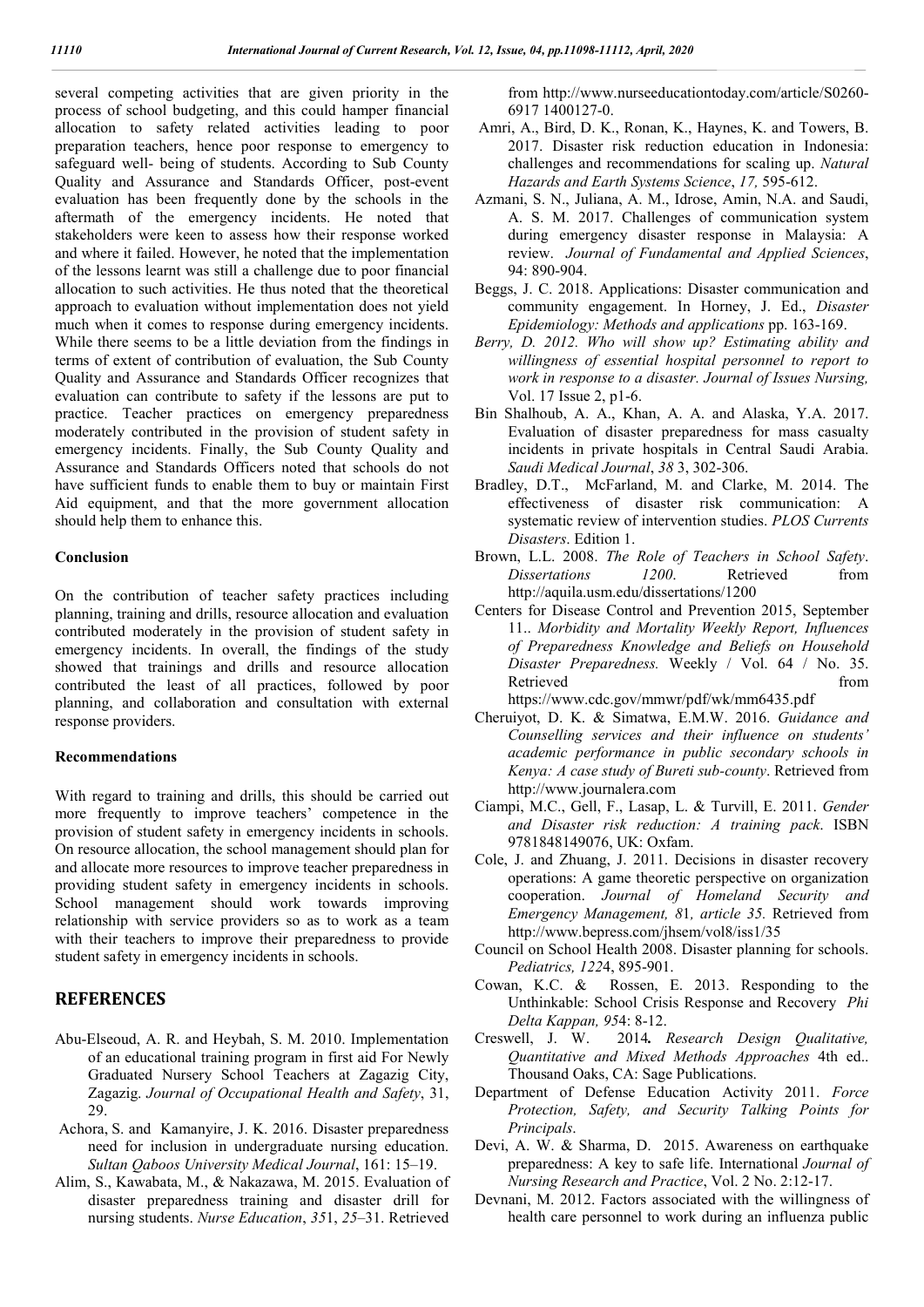several competing activities that are given priority in the process of school budgeting, and this could hamper financial allocation to safety related activities leading to poor preparation teachers, hence poor response to emergency to safeguard well- being of students. According to Sub County Quality and Assurance and Standards Officer, post-event evaluation has been frequently done by the schools in the aftermath of the emergency incidents. He noted that stakeholders were keen to assess how their response worked and where it failed. However, he noted that the implementation of the lessons learnt was still a challenge due to poor financial allocation to such activities. He thus noted that the theoretical approach to evaluation without implementation does not yield much when it comes to response during emergency incidents. While there seems to be a little deviation from the findings in terms of extent of contribution of evaluation, the Sub County Quality and Assurance and Standards Officer recognizes that evaluation can contribute to safety if the lessons are put to practice. Teacher practices on emergency preparedness moderately contributed in the provision of student safety in emergency incidents. Finally, the Sub County Quality and Assurance and Standards Officers noted that schools do not have sufficient funds to enable them to buy or maintain First Aid equipment, and that the more government allocation should help them to enhance this.

### **Conclusion**

On the contribution of teacher safety practices including planning, training and drills, resource allocation and evaluation contributed moderately in the provision of student safety in emergency incidents. In overall, the findings of the study showed that trainings and drills and resource allocation contributed the least of all practices, followed by poor planning, and collaboration and consultation with external response providers.

#### **Recommendations**

With regard to training and drills, this should be carried out more frequently to improve teachers' competence in the provision of student safety in emergency incidents in schools. On resource allocation, the school management should plan for and allocate more resources to improve teacher preparedness in providing student safety in emergency incidents in schools. School management should work towards improving relationship with service providers so as to work as a team with their teachers to improve their preparedness to provide student safety in emergency incidents in schools.

## **REFERENCES**

- Abu-Elseoud, A. R. and Heybah, S. M. 2010. Implementation of an educational training program in first aid For Newly Graduated Nursery School Teachers at Zagazig City, Zagazig. *Journal of Occupational Health and Safety*, 31, 29.
- Achora, S. and Kamanyire, J. K. 2016. Disaster preparedness need for inclusion in undergraduate nursing education. *Sultan Qaboos University Medical Journal*, 161: 15–19.
- Alim, S., Kawabata, M., & Nakazawa, M. 2015. Evaluation of disaster preparedness training and disaster drill for nursing students. *Nurse Education*, *35*1, *25*–31. Retrieved

from http://www.nurseeducationtoday.com/article/S0260- 6917 1400127-0.

- Amri, A., Bird, D. K., Ronan, K., Haynes, K. and Towers, B. 2017. Disaster risk reduction education in Indonesia: challenges and recommendations for scaling up. *Natural Hazards and Earth Systems Science*, *17,* 595-612.
- Azmani, S. N., Juliana, A. M., Idrose, Amin, N.A. and Saudi, A. S. M. 2017. Challenges of communication system during emergency disaster response in Malaysia: A review. *Journal of Fundamental and Applied Sciences*, 94: 890-904.
- Beggs, J. C. 2018. Applications: Disaster communication and community engagement. In Horney, J. Ed., *Disaster Epidemiology: Methods and applications* pp. 163-169.
- *Berry, D. 2012. Who will show up? Estimating ability and willingness of essential hospital personnel to report to work in response to a disaster. Journal of Issues Nursing,* Vol. 17 Issue 2, p1-6.
- Bin Shalhoub, A. A., Khan, A. A. and Alaska, Y.A. 2017. Evaluation of disaster preparedness for mass casualty incidents in private hospitals in Central Saudi Arabia. *Saudi Medical Journal*, *38* 3, 302-306.
- Bradley, D.T., McFarland, M. and Clarke, M. 2014. The effectiveness of disaster risk communication: A systematic review of intervention studies. *PLOS Currents Disasters*. Edition 1.
- Brown, L.L. 2008. *The Role of Teachers in School Safety*. *Dissertations 1200*. Retrieved from http://aquila.usm.edu/dissertations/1200
- Centers for Disease Control and Prevention 2015, September 11.. *Morbidity and Mortality Weekly Report, Influences of Preparedness Knowledge and Beliefs on Household Disaster Preparedness.* Weekly / Vol. 64 / No. 35. Retrieved from the set of the set of the set of the set of the set of the set of the set of the set of the set of the set of the set of the set of the set of the set of the set of the set of the set of the set of the set o https://www.cdc.gov/mmwr/pdf/wk/mm6435.pdf
- Cheruiyot, D. K. & Simatwa, E.M.W. 2016. *Guidance and Counselling services and their influence on students' academic performance in public secondary schools in Kenya: A case study of Bureti sub-county*. Retrieved from http://www.journalera.com
- Ciampi, M.C., Gell, F., Lasap, L. & Turvill, E. 2011. *Gender and Disaster risk reduction: A training pack*. ISBN 9781848149076, UK: Oxfam.
- Cole, J. and Zhuang, J. 2011. Decisions in disaster recovery operations: A game theoretic perspective on organization cooperation. *Journal of Homeland Security and Emergency Management, 8*1*, article 35.* Retrieved from http://www.bepress.com/jhsem/vol8/iss1/35
- Council on School Health 2008. Disaster planning for schools. *Pediatrics, 122*4, 895-901.
- Cowan, K.C. & Rossen, E. 2013. Responding to the Unthinkable: School Crisis Response and Recovery *Phi Delta Kappan, 95*4: 8-12.
- Creswell, J. W. 2014*. Research Design Qualitative, Quantitative and Mixed Methods Approaches* 4th ed.. Thousand Oaks, CA: Sage Publications.
- Department of Defense Education Activity 2011. *Force Protection, Safety, and Security Talking Points for Principals*.
- Devi, A. W. & Sharma, D. 2015. Awareness on earthquake preparedness: A key to safe life. International *Journal of Nursing Research and Practice*, Vol. 2 No. 2:12-17.
- Devnani, M. 2012. Factors associated with the willingness of health care personnel to work during an influenza public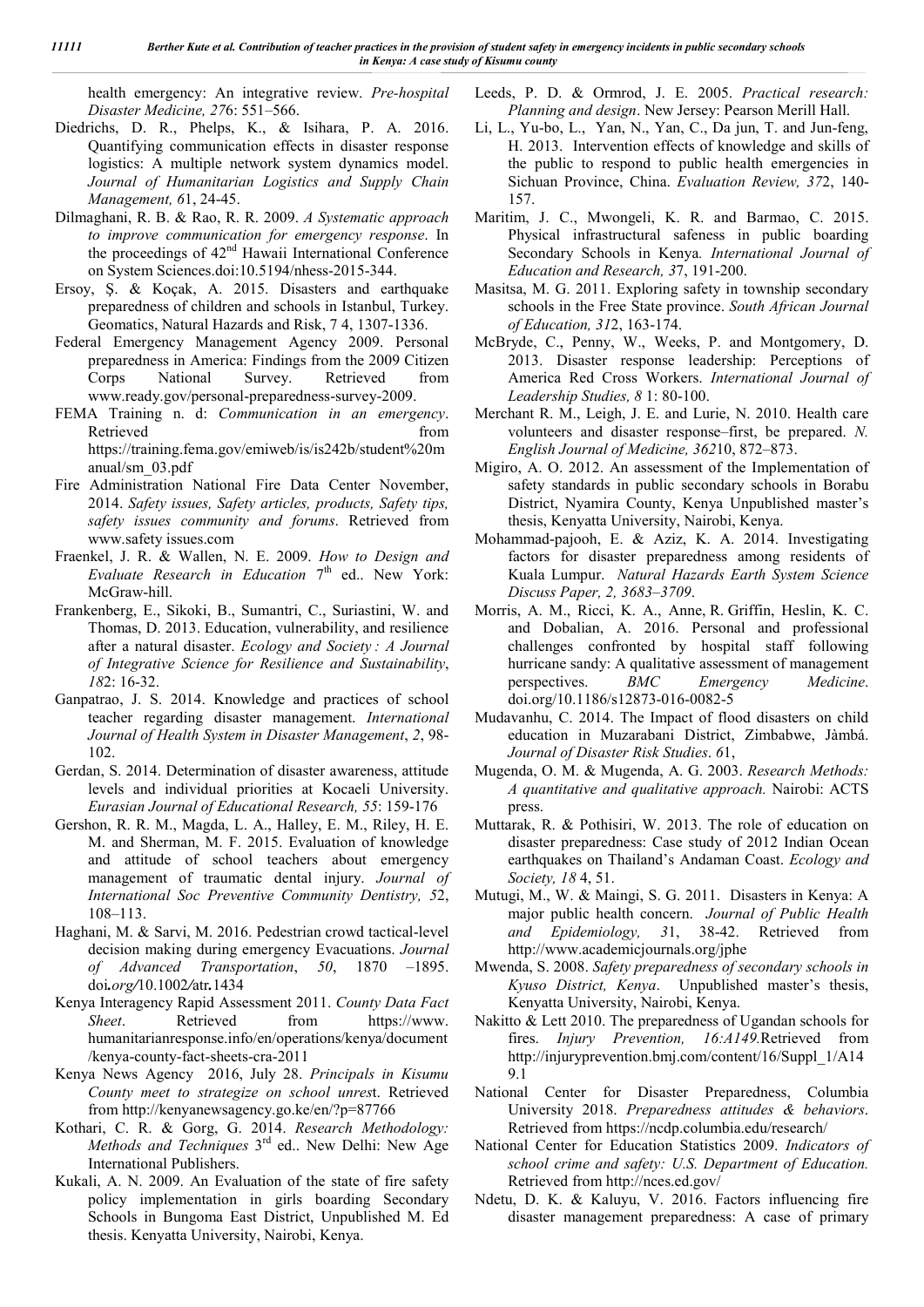health emergency: An integrative review. *Pre-hospital Disaster Medicine, 27*6: 551–566.

- Diedrichs, D. R., Phelps, K., & Isihara, P. A. 2016. Quantifying communication effects in disaster response logistics: A multiple network system dynamics model. *Journal of Humanitarian Logistics and Supply Chain Management, 6*1, 24-45.
- Dilmaghani, R. B. & Rao, R. R. 2009. *A Systematic approach to improve communication for emergency response*. In the proceedings of 42<sup>nd</sup> Hawaii International Conference on System Sciences.doi:10.5194/nhess-2015-344.
- Ersoy, Ş. & Koçak, A. 2015. Disasters and earthquake preparedness of children and schools in Istanbul, Turkey. Geomatics, Natural Hazards and Risk, 7 4, 1307-1336.
- Federal Emergency Management Agency 2009. Personal preparedness in America: Findings from the 2009 Citizen Corps National Survey. Retrieved from www.ready.gov/personal-preparedness-survey-2009.
- FEMA Training n. d: *Communication in an emergency*. Retrieved from https://training.fema.gov/emiweb/is/is242b/student%20m anual/sm\_03.pdf
- Fire Administration National Fire Data Center November, 2014. *Safety issues, Safety articles, products, Safety tips, safety issues community and forums*. Retrieved from www.safety issues.com
- Fraenkel, J. R. & Wallen, N. E. 2009. *How to Design and Evaluate Research in Education* 7<sup>th</sup> ed.. New York: McGraw-hill.
- Frankenberg, E., Sikoki, B., Sumantri, C., Suriastini, W. and Thomas, D. 2013. Education, vulnerability, and resilience after a natural disaster. *Ecology and Society : A Journal of Integrative Science for Resilience and Sustainability*, *18*2: 16-32.
- Ganpatrao, J. S. 2014. Knowledge and practices of school teacher regarding disaster management. *International Journal of Health System in Disaster Management*, *2*, 98- 102.
- Gerdan, S. 2014. Determination of disaster awareness, attitude levels and individual priorities at Kocaeli University. *Eurasian Journal of Educational Research, 55*: 159-176
- Gershon, R. R. M., Magda, L. A., Halley, E. M., Riley, H. E. M. and Sherman, M. F. 2015. Evaluation of knowledge and attitude of school teachers about emergency management of traumatic dental injury. *Journal of International Soc Preventive Community Dentistry, 5*2, 108–113.
- Haghani, M. & Sarvi, M. 2016. Pedestrian crowd tactical-level decision making during emergency Evacuations. *Journal of Advanced Transportation*, *50*, 1870 –1895. doi*.org/*10.1002*/*atr*.*1434
- Kenya Interagency Rapid Assessment 2011. *County Data Fact Sheet*. Retrieved from https://www. humanitarianresponse.info/en/operations/kenya/document /kenya-county-fact-sheets-cra-2011
- Kenya News Agency 2016, July 28. *Principals in Kisumu County meet to strategize on school unres*t. Retrieved from http://kenyanewsagency.go.ke/en/?p=87766
- Kothari, C. R. & Gorg, G. 2014. *Research Methodology: Methods and Techniques* 3<sup>rd</sup> ed.. New Delhi: New Age International Publishers.
- Kukali, A. N. 2009. An Evaluation of the state of fire safety policy implementation in girls boarding Secondary Schools in Bungoma East District, Unpublished M. Ed thesis. Kenyatta University, Nairobi, Kenya.
- Leeds, P. D. & Ormrod, J. E. 2005. *Practical research: Planning and design*. New Jersey: Pearson Merill Hall.
- Li, L., Yu-bo, L., Yan, N., Yan, C., Da jun, T. and Jun-feng, H. 2013. Intervention effects of knowledge and skills of the public to respond to public health emergencies in Sichuan Province, China. *Evaluation Review, 37*2, 140- 157.
- Maritim, J. C., Mwongeli, K. R. and Barmao, C. 2015. Physical infrastructural safeness in public boarding Secondary Schools in Kenya*. International Journal of Education and Research, 3*7, 191-200.
- Masitsa, M. G. 2011. Exploring safety in township secondary schools in the Free State province. *South African Journal of Education, 31*2, 163-174.
- McBryde, C., Penny, W., Weeks, P. and Montgomery, D. 2013. Disaster response leadership: Perceptions of America Red Cross Workers. *International Journal of Leadership Studies, 8* 1: 80-100.
- Merchant R. M., Leigh, J. E. and Lurie, N. 2010. Health care volunteers and disaster response–first, be prepared. *N. English Journal of Medicine, 362*10, 872–873.
- Migiro, A. O. 2012. An assessment of the Implementation of safety standards in public secondary schools in Borabu District, Nyamira County, Kenya Unpublished master's thesis, Kenyatta University, Nairobi, Kenya.
- Mohammad-pajooh, E. & Aziz, K. A. 2014. Investigating factors for disaster preparedness among residents of Kuala Lumpur. *Natural Hazards Earth System Science Discuss Paper, 2, 3683–3709*.
- Morris, A. M., Ricci, K. A., Anne, R. Griffin, Heslin, K. C. and Dobalian, A. 2016. Personal and professional challenges confronted by hospital staff following hurricane sandy: A qualitative assessment of management perspectives. *BMC Emergency Medicine*. doi.org/10.1186/s12873-016-0082-5
- Mudavanhu, C. 2014. The Impact of flood disasters on child education in Muzarabani District, Zimbabwe, Jàmbá. *Journal of Disaster Risk Studies*. *6*1,
- Mugenda, O. M. & Mugenda, A. G. 2003. *Research Methods: A quantitative and qualitative approach.* Nairobi: ACTS press.
- Muttarak, R. & Pothisiri, W. 2013. The role of education on disaster preparedness: Case study of 2012 Indian Ocean earthquakes on Thailand's Andaman Coast. *Ecology and Society, 18* 4, 51.
- Mutugi, M., W. & Maingi, S. G. 2011. Disasters in Kenya: A major public health concern. *Journal of Public Health and Epidemiology, 3*1, 38-42. Retrieved from http://www.academicjournals.org/jphe
- Mwenda, S. 2008. *Safety preparedness of secondary schools in Kyuso District, Kenya*. Unpublished master's thesis, Kenyatta University, Nairobi, Kenya.
- Nakitto & Lett 2010. The preparedness of Ugandan schools for fires. *Injury Prevention, 16:A149.*Retrieved from http://injuryprevention.bmj.com/content/16/Suppl\_1/A14 9.1
- National Center for Disaster Preparedness, Columbia University 2018. *Preparedness attitudes & behaviors*. Retrieved from https://ncdp.columbia.edu/research/
- National Center for Education Statistics 2009. *Indicators of school crime and safety: U.S. Department of Education.*  Retrieved from http://nces.ed.gov/
- Ndetu, D. K. & Kaluyu, V. 2016. Factors influencing fire disaster management preparedness: A case of primary